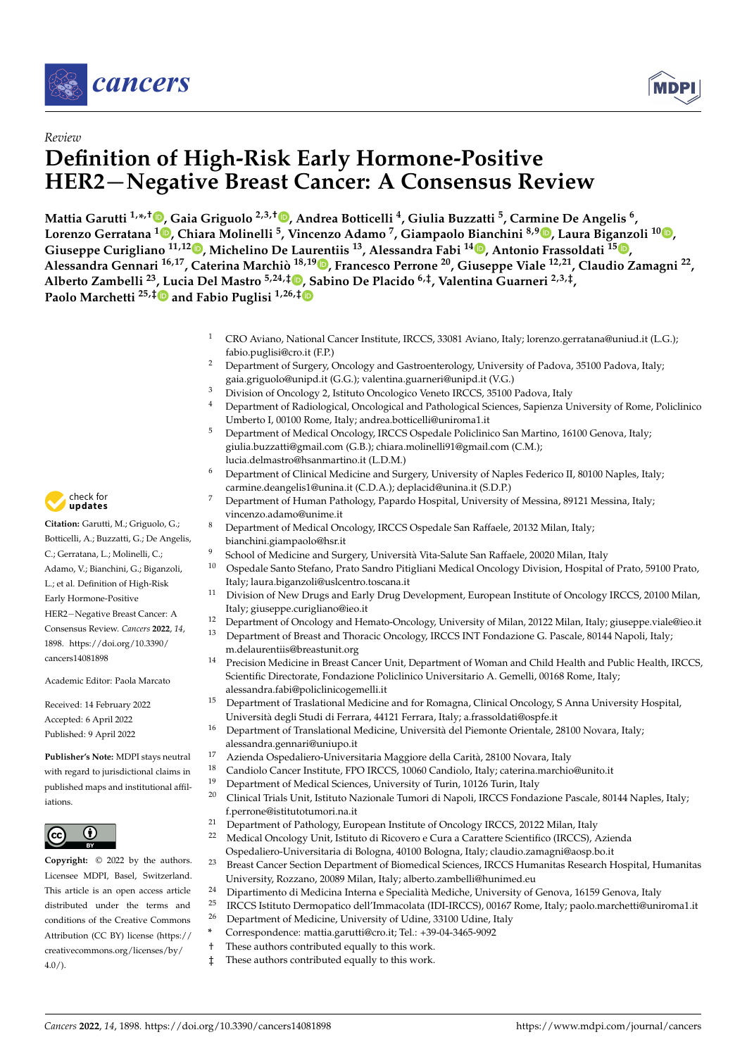



# *Review* **Definition of High-Risk Early Hormone-Positive HER2**−**Negative Breast Cancer: A Consensus Review**

**Mattia Garutti 1,\* ,† [,](https://orcid.org/0000-0002-4952-8610) Gaia Griguolo 2,3,† [,](https://orcid.org/0000-0002-8782-4509) Andrea Botticelli <sup>4</sup> , Giulia Buzzatti <sup>5</sup> , Carmine De Angelis <sup>6</sup> , Lorenzo Gerratana <sup>1</sup> [,](https://orcid.org/0000-0002-8313-4834) Chiara Molinelli <sup>5</sup> , Vincenzo Adamo <sup>7</sup> , Giampaolo Bianchini 8,9 [,](https://orcid.org/0000-0002-6790-6267) Laura Biganzoli 1[0](https://orcid.org/0000-0001-7989-8658) , Giuseppe Curigliano 11,12 [,](https://orcid.org/0000-0003-1781-2518) Michelino De Laurentiis <sup>13</sup>, Alessandra Fabi <sup>14</sup> [,](https://orcid.org/0000-0002-6320-2609) Antonio Frassoldati <sup>15</sup> [,](https://orcid.org/0000-0003-3487-3259) Alessandra Gennari 16,17, Caterina Marchiò 18,19 [,](https://orcid.org/0000-0003-2024-6131) Francesco Perrone <sup>20</sup>, Giuseppe Viale 12,21, Claudio Zamagni <sup>22</sup> , Alberto Zambelli <sup>23</sup>, Lucia Del Mastro 5,24,[‡](https://orcid.org/0000-0002-9546-5841) [, S](https://orcid.org/0000-0003-0573-4938)abino De Placido 6,‡, Valentina Guarneri 2,3,‡ , Paolo Marchetti 25,[‡](https://orcid.org/0000-0002-9064-8761) and Fabio Puglisi 1,26,‡**

- <sup>1</sup> CRO Aviano, National Cancer Institute, IRCCS, 33081 Aviano, Italy; lorenzo.gerratana@uniud.it (L.G.); fabio.puglisi@cro.it (F.P.)
- <sup>2</sup> Department of Surgery, Oncology and Gastroenterology, University of Padova, 35100 Padova, Italy; gaia.griguolo@unipd.it (G.G.); valentina.guarneri@unipd.it (V.G.)
- <sup>3</sup> Division of Oncology 2, Istituto Oncologico Veneto IRCCS, 35100 Padova, Italy<br><sup>4</sup> Department of Padiological Oncological and Pathological Sciences, Sanionza U
- <sup>4</sup> Department of Radiological, Oncological and Pathological Sciences, Sapienza University of Rome, Policlinico Umberto I, 00100 Rome, Italy; andrea.botticelli@uniroma1.it
- <sup>5</sup> Department of Medical Oncology, IRCCS Ospedale Policlinico San Martino, 16100 Genova, Italy; giulia.buzzatti@gmail.com (G.B.); chiara.molinelli91@gmail.com (C.M.); lucia.delmastro@hsanmartino.it (L.D.M.)
- <sup>6</sup> Department of Clinical Medicine and Surgery, University of Naples Federico II, 80100 Naples, Italy; carmine.deangelis1@unina.it (C.D.A.); deplacid@unina.it (S.D.P.)
- <sup>7</sup> Department of Human Pathology, Papardo Hospital, University of Messina, 89121 Messina, Italy; vincenzo.adamo@unime.it
- <sup>8</sup> Department of Medical Oncology, IRCCS Ospedale San Raffaele, 20132 Milan, Italy; bianchini.giampaolo@hsr.it
- <sup>9</sup> School of Medicine and Surgery, Università Vita-Salute San Raffaele, 20020 Milan, Italy
- <sup>10</sup> Ospedale Santo Stefano, Prato Sandro Pitigliani Medical Oncology Division, Hospital of Prato, 59100 Prato, Italy; laura.biganzoli@uslcentro.toscana.it
- <sup>11</sup> Division of New Drugs and Early Drug Development, European Institute of Oncology IRCCS, 20100 Milan, Italy; giuseppe.curigliano@ieo.it
- <sup>12</sup> Department of Oncology and Hemato-Oncology, University of Milan, 20122 Milan, Italy; giuseppe.viale@ieo.it<br><sup>13</sup> Department of Breast and Theracis Oncology, IBCCS INT Eondasione C. Bassale, 80144 Napoli, Italy;
- <sup>13</sup> Department of Breast and Thoracic Oncology, IRCCS INT Fondazione G. Pascale, 80144 Napoli, Italy; m.delaurentiis@breastunit.org
- <sup>14</sup> Precision Medicine in Breast Cancer Unit, Department of Woman and Child Health and Public Health, IRCCS, Scientific Directorate, Fondazione Policlinico Universitario A. Gemelli, 00168 Rome, Italy; alessandra.fabi@policlinicogemelli.it
- <sup>15</sup> Department of Traslational Medicine and for Romagna, Clinical Oncology, S Anna University Hospital, Università degli Studi di Ferrara, 44121 Ferrara, Italy; a.frassoldati@ospfe.it
- <sup>16</sup> Department of Translational Medicine, Università del Piemonte Orientale, 28100 Novara, Italy; alessandra.gennari@uniupo.it
- <sup>17</sup> Azienda Ospedaliero-Universitaria Maggiore della Carità, 28100 Novara, Italy
- <sup>18</sup> Candiolo Cancer Institute, FPO IRCCS, 10060 Candiolo, Italy; caterina.marchio@unito.it<br><sup>19</sup> Department of Modical Sciences, University of Turin, 10126 Turin, Italy
- <sup>19</sup> Department of Medical Sciences, University of Turin, 10126 Turin, Italy<br><sup>20</sup> Clinical Trials Unit Jetitute Nazionale Turgeri di Napoli, IPCCS Fonda
- <sup>20</sup> Clinical Trials Unit, Istituto Nazionale Tumori di Napoli, IRCCS Fondazione Pascale, 80144 Naples, Italy; f.perrone@istitutotumori.na.it
- <sup>21</sup> Department of Pathology, European Institute of Oncology IRCCS, 20122 Milan, Italy<br><sup>22</sup> Meth<sup>1</sup> al Onsalassy Unit Jettute di Biogram a Carry a Capattera Scientifica (IBCCS)
- <sup>22</sup> Medical Oncology Unit, Istituto di Ricovero e Cura a Carattere Scientifico (IRCCS), Azienda Ospedaliero-Universitaria di Bologna, 40100 Bologna, Italy; claudio.zamagni@aosp.bo.it
- <sup>23</sup> Breast Cancer Section Department of Biomedical Sciences, IRCCS Humanitas Research Hospital, Humanitas University, Rozzano, 20089 Milan, Italy; alberto.zambelli@hunimed.eu
- <sup>24</sup> Dipartimento di Medicina Interna e Specialità Mediche, University of Genova, 16159 Genova, Italy
- <sup>25</sup> IRCCS Istituto Dermopatico dell'Immacolata (IDI-IRCCS), 00167 Rome, Italy; paolo.marchetti@uniroma1.it
- <sup>26</sup> Department of Medicine, University of Udine, 33100 Udine, Italy
- **\*** Correspondence: mattia.garutti@cro.it; Tel.: +39-04-3465-9092
- † These authors contributed equally to this work.
- ‡ These authors contributed equally to this work.



**Citation:** Garutti, M.; Griguolo, G.; Botticelli, A.; Buzzatti, G.; De Angelis, C.; Gerratana, L.; Molinelli, C.; Adamo, V.; Bianchini, G.; Biganzoli, L.; et al. Definition of High-Risk Early Hormone-Positive HER2−Negative Breast Cancer: A Consensus Review. *Cancers* **2022**, *14*, 1898. [https://doi.org/10.3390/](https://doi.org/10.3390/cancers14081898) [cancers14081898](https://doi.org/10.3390/cancers14081898)

Academic Editor: Paola Marcato

Received: 14 February 2022 Accepted: 6 April 2022 Published: 9 April 2022

**Publisher's Note:** MDPI stays neutral with regard to jurisdictional claims in published maps and institutional affiliations.

**Copyright:** © 2022 by the authors. Licensee MDPI, Basel, Switzerland. This article is an open access article distributed under the terms and conditions of the Creative Commons Attribution (CC BY) license [\(https://](https://creativecommons.org/licenses/by/4.0/) [creativecommons.org/licenses/by/](https://creativecommons.org/licenses/by/4.0/)



 $4.0/$ ).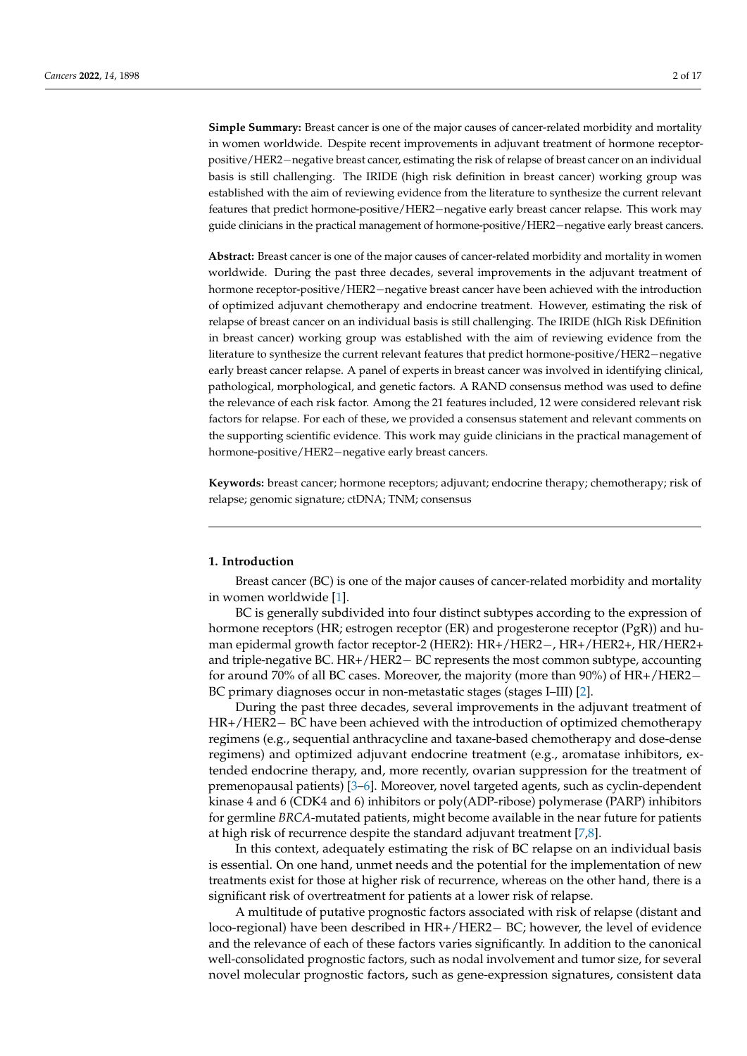**Simple Summary:** Breast cancer is one of the major causes of cancer-related morbidity and mortality in women worldwide. Despite recent improvements in adjuvant treatment of hormone receptorpositive/HER2−negative breast cancer, estimating the risk of relapse of breast cancer on an individual basis is still challenging. The IRIDE (high risk definition in breast cancer) working group was established with the aim of reviewing evidence from the literature to synthesize the current relevant features that predict hormone-positive/HER2−negative early breast cancer relapse. This work may guide clinicians in the practical management of hormone-positive/HER2−negative early breast cancers.

**Abstract:** Breast cancer is one of the major causes of cancer-related morbidity and mortality in women worldwide. During the past three decades, several improvements in the adjuvant treatment of hormone receptor-positive/HER2−negative breast cancer have been achieved with the introduction of optimized adjuvant chemotherapy and endocrine treatment. However, estimating the risk of relapse of breast cancer on an individual basis is still challenging. The IRIDE (hIGh Risk DEfinition in breast cancer) working group was established with the aim of reviewing evidence from the literature to synthesize the current relevant features that predict hormone-positive/HER2−negative early breast cancer relapse. A panel of experts in breast cancer was involved in identifying clinical, pathological, morphological, and genetic factors. A RAND consensus method was used to define the relevance of each risk factor. Among the 21 features included, 12 were considered relevant risk factors for relapse. For each of these, we provided a consensus statement and relevant comments on the supporting scientific evidence. This work may guide clinicians in the practical management of hormone-positive/HER2−negative early breast cancers.

**Keywords:** breast cancer; hormone receptors; adjuvant; endocrine therapy; chemotherapy; risk of relapse; genomic signature; ctDNA; TNM; consensus

#### **1. Introduction**

Breast cancer (BC) is one of the major causes of cancer-related morbidity and mortality in women worldwide [\[1\]](#page-12-0).

BC is generally subdivided into four distinct subtypes according to the expression of hormone receptors (HR; estrogen receptor (ER) and progesterone receptor (PgR)) and human epidermal growth factor receptor-2 (HER2): HR+/HER2−, HR+/HER2+, HR/HER2+ and triple-negative BC. HR+/HER2− BC represents the most common subtype, accounting for around 70% of all BC cases. Moreover, the majority (more than 90%) of HR+/HER2− BC primary diagnoses occur in non-metastatic stages (stages I–III) [\[2\]](#page-12-1).

During the past three decades, several improvements in the adjuvant treatment of HR+/HER2− BC have been achieved with the introduction of optimized chemotherapy regimens (e.g., sequential anthracycline and taxane-based chemotherapy and dose-dense regimens) and optimized adjuvant endocrine treatment (e.g., aromatase inhibitors, extended endocrine therapy, and, more recently, ovarian suppression for the treatment of premenopausal patients) [\[3](#page-12-2)[–6\]](#page-13-0). Moreover, novel targeted agents, such as cyclin-dependent kinase 4 and 6 (CDK4 and 6) inhibitors or poly(ADP-ribose) polymerase (PARP) inhibitors for germline *BRCA*-mutated patients, might become available in the near future for patients at high risk of recurrence despite the standard adjuvant treatment [\[7](#page-13-1)[,8\]](#page-13-2).

In this context, adequately estimating the risk of BC relapse on an individual basis is essential. On one hand, unmet needs and the potential for the implementation of new treatments exist for those at higher risk of recurrence, whereas on the other hand, there is a significant risk of overtreatment for patients at a lower risk of relapse.

A multitude of putative prognostic factors associated with risk of relapse (distant and loco-regional) have been described in HR+/HER2− BC; however, the level of evidence and the relevance of each of these factors varies significantly. In addition to the canonical well-consolidated prognostic factors, such as nodal involvement and tumor size, for several novel molecular prognostic factors, such as gene-expression signatures, consistent data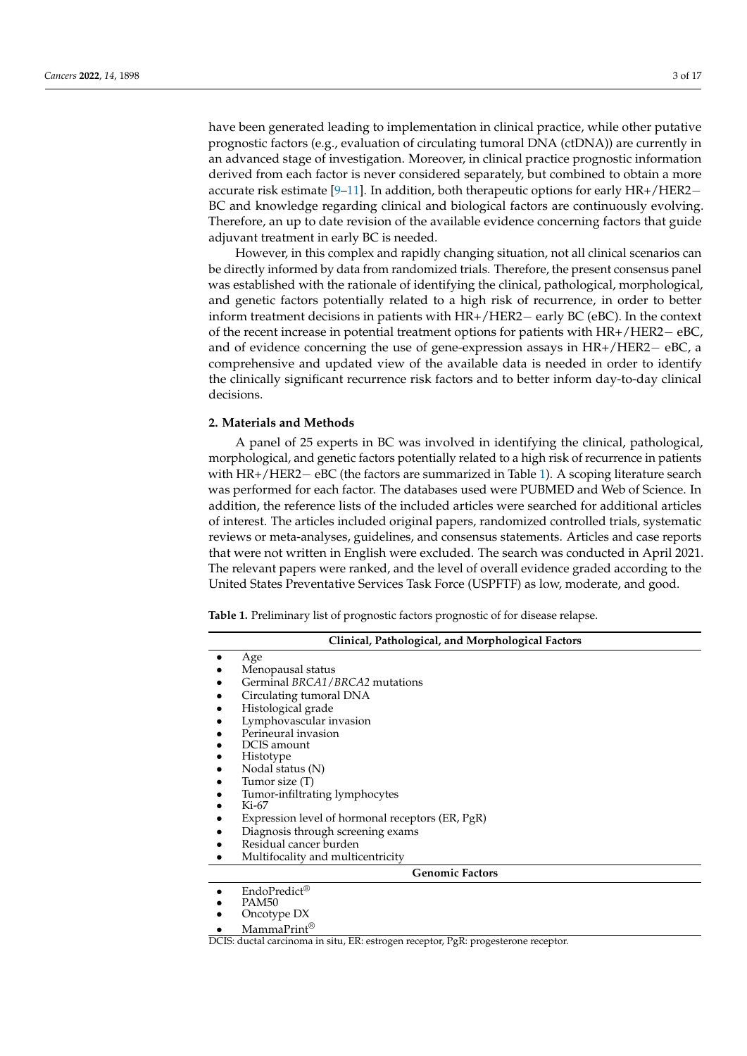have been generated leading to implementation in clinical practice, while other putative prognostic factors (e.g., evaluation of circulating tumoral DNA (ctDNA)) are currently in an advanced stage of investigation. Moreover, in clinical practice prognostic information derived from each factor is never considered separately, but combined to obtain a more accurate risk estimate [\[9–](#page-13-3)[11\]](#page-13-4). In addition, both therapeutic options for early HR+/HER2− BC and knowledge regarding clinical and biological factors are continuously evolving. Therefore, an up to date revision of the available evidence concerning factors that guide adjuvant treatment in early BC is needed.

However, in this complex and rapidly changing situation, not all clinical scenarios can be directly informed by data from randomized trials. Therefore, the present consensus panel was established with the rationale of identifying the clinical, pathological, morphological, and genetic factors potentially related to a high risk of recurrence, in order to better inform treatment decisions in patients with HR+/HER2− early BC (eBC). In the context of the recent increase in potential treatment options for patients with HR+/HER2− eBC, and of evidence concerning the use of gene-expression assays in HR+/HER2− eBC, a comprehensive and updated view of the available data is needed in order to identify the clinically significant recurrence risk factors and to better inform day-to-day clinical decisions.

# **2. Materials and Methods**

A panel of 25 experts in BC was involved in identifying the clinical, pathological, morphological, and genetic factors potentially related to a high risk of recurrence in patients with HR+/HER2− eBC (the factors are summarized in Table [1\)](#page-2-0). A scoping literature search was performed for each factor. The databases used were PUBMED and Web of Science. In addition, the reference lists of the included articles were searched for additional articles of interest. The articles included original papers, randomized controlled trials, systematic reviews or meta-analyses, guidelines, and consensus statements. Articles and case reports that were not written in English were excluded. The search was conducted in April 2021. The relevant papers were ranked, and the level of overall evidence graded according to the United States Preventative Services Task Force (USPFTF) as low, moderate, and good.

<span id="page-2-0"></span>**Table 1.** Preliminary list of prognostic factors prognostic of for disease relapse.

| Clinical, Pathological, and Morphological Factors |                                                  |  |  |
|---------------------------------------------------|--------------------------------------------------|--|--|
|                                                   | Age                                              |  |  |
|                                                   | Menopausal status                                |  |  |
|                                                   | Germinal BRCA1/BRCA2 mutations                   |  |  |
|                                                   | Circulating tumoral DNA                          |  |  |
|                                                   | Histological grade                               |  |  |
|                                                   | Lymphovascular invasion                          |  |  |
|                                                   | Perineural invasion                              |  |  |
|                                                   | DCIS amount                                      |  |  |
|                                                   | Histotype                                        |  |  |
|                                                   | Nodal status (N)                                 |  |  |
|                                                   | Tumor size (T)                                   |  |  |
|                                                   | Tumor-infiltrating lymphocytes                   |  |  |
|                                                   | Ki-67                                            |  |  |
|                                                   | Expression level of hormonal receptors (ER, PgR) |  |  |
|                                                   | Diagnosis through screening exams                |  |  |
|                                                   | Residual cancer burden                           |  |  |
|                                                   | Multifocality and multicentricity                |  |  |
| <b>Genomic Factors</b>                            |                                                  |  |  |

EndoPredict®

- PAM50
- Oncotype DX
- MammaPrint®

DCIS: ductal carcinoma in situ, ER: estrogen receptor, PgR: progesterone receptor.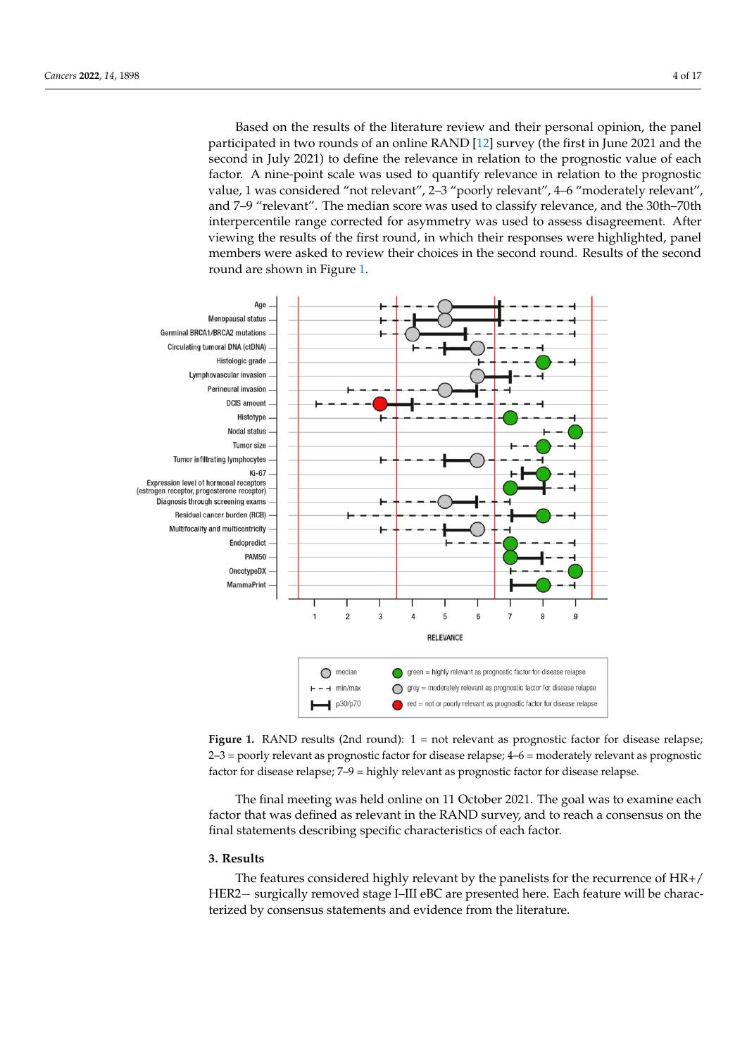Based on the results of the literature review and their personal opinion, the panel participated in two rounds of an online RAND [\[12\]](#page-13-5) survey (the first in June 2021 and the second in July 2021) to define the relevance in relation to the prognostic value of each factor. A nine-point scale was used to quantify relevance in relation to the prognostic value of each factor. ractor. The form search was used to qualitary relevanted in relation to the progrimshed value, 1 was considered "not relevant", 2–3 "poorly relevant", 4–6 "moderately relevant", and 7–9 "relevant". The median score was used to classify relevance, and the 30th–70th interpercentile range corrected for asymmetry was used to assess disagreement. After merpercentic range corrected for asymmetry was ased to assess disagreement. Their members were asked to review their choices in the second round. Results of the second round are shown in Figure [1.](#page-3-0) second in July 2021) to define the relevance in relation to the prognostic value of each factor. The factor is not measure to the program of the participation of the participation of the participation of the participation of the participation of the participation of the participation of the participation of th view, it was considered, in the results of the first round, it is not the results of  $\frac{1}{2}$  of  $\frac{1}{2}$  of  $\frac{1}{2}$  of  $\frac{1}{2}$  of  $\frac{1}{2}$  of  $\frac{1}{2}$  of  $\frac{1}{2}$  of  $\frac{1}{2}$  of  $\frac{1}{2}$  of  $\frac{1}{2}$  of  $\frac{1}{$ 

<span id="page-3-0"></span>

**Figure 1.** RAND results (2nd round): 1 = not relevant as prognostic factor for disease relapse; 2–3 = poorly relevant as prognostic factor for disease relapse; 4–6 = moderately relevant as prognostic factor for disease relapse; 7–9 = highly relevant as prognostic factor for disease relapse.

The final meeting was held online on 11 October 2021. The goal was to examine each factor that was defined as relevant in the RAND survey, and to reach a consensus on the final statements describing specific characteristics of each factor.

# **3. Results**

The features considered highly relevant by the panelists for the recurrence of HR+/ HER2− surgically removed stage I–III eBC are presented here. Each feature will be characterized by consensus statements and evidence from the literature.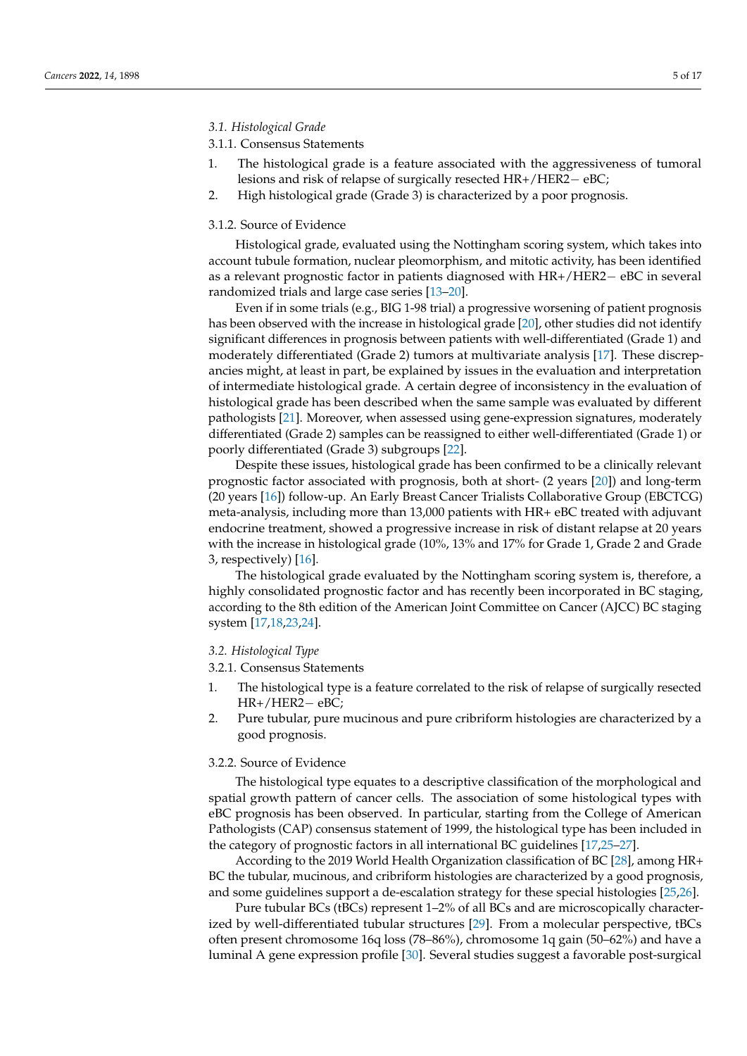## *3.1. Histological Grade*

# 3.1.1. Consensus Statements

- 1. The histological grade is a feature associated with the aggressiveness of tumoral lesions and risk of relapse of surgically resected HR+/HER2− eBC;
- 2. High histological grade (Grade 3) is characterized by a poor prognosis.

# 3.1.2. Source of Evidence

Histological grade, evaluated using the Nottingham scoring system, which takes into account tubule formation, nuclear pleomorphism, and mitotic activity, has been identified as a relevant prognostic factor in patients diagnosed with HR+/HER2− eBC in several randomized trials and large case series [\[13–](#page-13-6)[20\]](#page-13-7).

Even if in some trials (e.g., BIG 1-98 trial) a progressive worsening of patient prognosis has been observed with the increase in histological grade [\[20\]](#page-13-7), other studies did not identify significant differences in prognosis between patients with well-differentiated (Grade 1) and moderately differentiated (Grade 2) tumors at multivariate analysis [\[17\]](#page-13-8). These discrepancies might, at least in part, be explained by issues in the evaluation and interpretation of intermediate histological grade. A certain degree of inconsistency in the evaluation of histological grade has been described when the same sample was evaluated by different pathologists [\[21\]](#page-13-9). Moreover, when assessed using gene-expression signatures, moderately differentiated (Grade 2) samples can be reassigned to either well-differentiated (Grade 1) or poorly differentiated (Grade 3) subgroups [\[22\]](#page-13-10).

Despite these issues, histological grade has been confirmed to be a clinically relevant prognostic factor associated with prognosis, both at short- (2 years [\[20\]](#page-13-7)) and long-term (20 years [\[16\]](#page-13-11)) follow-up. An Early Breast Cancer Trialists Collaborative Group (EBCTCG) meta-analysis, including more than 13,000 patients with HR+ eBC treated with adjuvant endocrine treatment, showed a progressive increase in risk of distant relapse at 20 years with the increase in histological grade (10%, 13% and 17% for Grade 1, Grade 2 and Grade 3, respectively) [\[16\]](#page-13-11).

The histological grade evaluated by the Nottingham scoring system is, therefore, a highly consolidated prognostic factor and has recently been incorporated in BC staging, according to the 8th edition of the American Joint Committee on Cancer (AJCC) BC staging system [\[17](#page-13-8)[,18](#page-13-12)[,23](#page-13-13)[,24\]](#page-13-14).

## *3.2. Histological Type*

## 3.2.1. Consensus Statements

- 1. The histological type is a feature correlated to the risk of relapse of surgically resected HR+/HER2− eBC;
- 2. Pure tubular, pure mucinous and pure cribriform histologies are characterized by a good prognosis.

#### 3.2.2. Source of Evidence

The histological type equates to a descriptive classification of the morphological and spatial growth pattern of cancer cells. The association of some histological types with eBC prognosis has been observed. In particular, starting from the College of American Pathologists (CAP) consensus statement of 1999, the histological type has been included in the category of prognostic factors in all international BC guidelines [\[17,](#page-13-8)[25](#page-13-15)[–27\]](#page-14-0).

According to the 2019 World Health Organization classification of BC [\[28\]](#page-14-1), among HR+ BC the tubular, mucinous, and cribriform histologies are characterized by a good prognosis, and some guidelines support a de-escalation strategy for these special histologies [\[25](#page-13-15)[,26\]](#page-13-16).

Pure tubular BCs (tBCs) represent 1–2% of all BCs and are microscopically characterized by well-differentiated tubular structures [\[29\]](#page-14-2). From a molecular perspective, tBCs often present chromosome 16q loss (78–86%), chromosome 1q gain (50–62%) and have a luminal A gene expression profile [\[30\]](#page-14-3). Several studies suggest a favorable post-surgical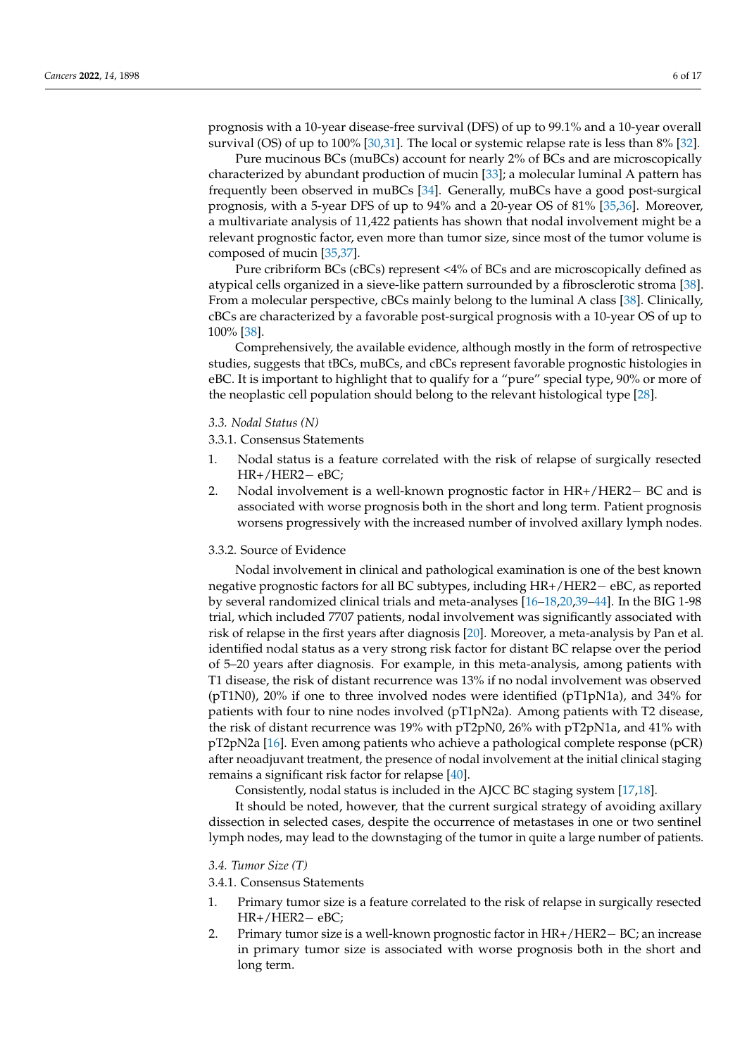prognosis with a 10-year disease-free survival (DFS) of up to 99.1% and a 10-year overall survival (OS) of up to 100% [\[30](#page-14-3)[,31\]](#page-14-4). The local or systemic relapse rate is less than 8% [\[32\]](#page-14-5).

Pure mucinous BCs (muBCs) account for nearly 2% of BCs and are microscopically characterized by abundant production of mucin [\[33\]](#page-14-6); a molecular luminal A pattern has frequently been observed in muBCs [\[34\]](#page-14-7). Generally, muBCs have a good post-surgical prognosis, with a 5-year DFS of up to 94% and a 20-year OS of 81% [\[35,](#page-14-8)[36\]](#page-14-9). Moreover, a multivariate analysis of 11,422 patients has shown that nodal involvement might be a relevant prognostic factor, even more than tumor size, since most of the tumor volume is composed of mucin [\[35](#page-14-8)[,37\]](#page-14-10).

Pure cribriform BCs (cBCs) represent <4% of BCs and are microscopically defined as atypical cells organized in a sieve-like pattern surrounded by a fibrosclerotic stroma [\[38\]](#page-14-11). From a molecular perspective, cBCs mainly belong to the luminal A class [\[38\]](#page-14-11). Clinically, cBCs are characterized by a favorable post-surgical prognosis with a 10-year OS of up to 100% [\[38\]](#page-14-11).

Comprehensively, the available evidence, although mostly in the form of retrospective studies, suggests that tBCs, muBCs, and cBCs represent favorable prognostic histologies in eBC. It is important to highlight that to qualify for a "pure" special type, 90% or more of the neoplastic cell population should belong to the relevant histological type [\[28\]](#page-14-1).

# *3.3. Nodal Status (N)*

3.3.1. Consensus Statements

- 1. Nodal status is a feature correlated with the risk of relapse of surgically resected HR+/HER2− eBC;
- 2. Nodal involvement is a well-known prognostic factor in HR+/HER2− BC and is associated with worse prognosis both in the short and long term. Patient prognosis worsens progressively with the increased number of involved axillary lymph nodes.

#### 3.3.2. Source of Evidence

Nodal involvement in clinical and pathological examination is one of the best known negative prognostic factors for all BC subtypes, including HR+/HER2− eBC, as reported by several randomized clinical trials and meta-analyses [\[16–](#page-13-11)[18](#page-13-12)[,20](#page-13-7)[,39–](#page-14-12)[44\]](#page-14-13). In the BIG 1-98 trial, which included 7707 patients, nodal involvement was significantly associated with risk of relapse in the first years after diagnosis [\[20\]](#page-13-7). Moreover, a meta-analysis by Pan et al. identified nodal status as a very strong risk factor for distant BC relapse over the period of 5–20 years after diagnosis. For example, in this meta-analysis, among patients with T1 disease, the risk of distant recurrence was 13% if no nodal involvement was observed (pT1N0), 20% if one to three involved nodes were identified (pT1pN1a), and 34% for patients with four to nine nodes involved (pT1pN2a). Among patients with T2 disease, the risk of distant recurrence was 19% with pT2pN0, 26% with pT2pN1a, and 41% with pT2pN2a [\[16\]](#page-13-11). Even among patients who achieve a pathological complete response (pCR) after neoadjuvant treatment, the presence of nodal involvement at the initial clinical staging remains a significant risk factor for relapse [\[40\]](#page-14-14).

Consistently, nodal status is included in the AJCC BC staging system [\[17](#page-13-8)[,18\]](#page-13-12).

It should be noted, however, that the current surgical strategy of avoiding axillary dissection in selected cases, despite the occurrence of metastases in one or two sentinel lymph nodes, may lead to the downstaging of the tumor in quite a large number of patients.

#### *3.4. Tumor Size (T)*

3.4.1. Consensus Statements

- 1. Primary tumor size is a feature correlated to the risk of relapse in surgically resected HR+/HER2− eBC;
- 2. Primary tumor size is a well-known prognostic factor in HR+/HER2− BC; an increase in primary tumor size is associated with worse prognosis both in the short and long term.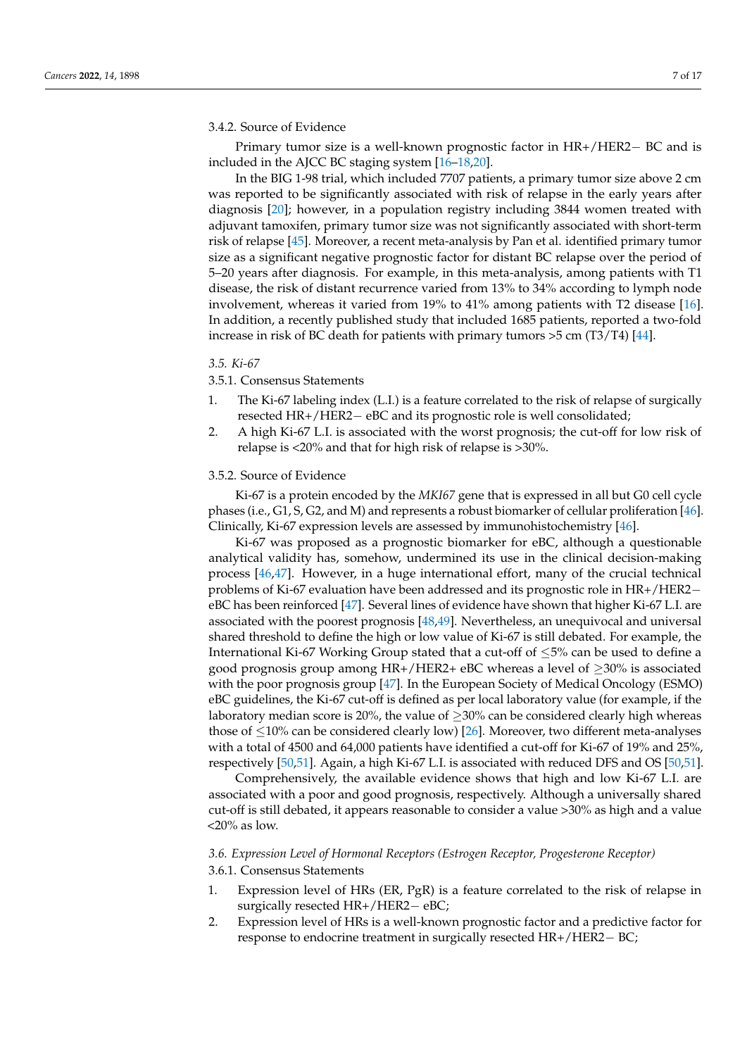## 3.4.2. Source of Evidence

Primary tumor size is a well-known prognostic factor in HR+/HER2− BC and is included in the AJCC BC staging system [\[16–](#page-13-11)[18](#page-13-12)[,20\]](#page-13-7).

In the BIG 1-98 trial, which included 7707 patients, a primary tumor size above 2 cm was reported to be significantly associated with risk of relapse in the early years after diagnosis [\[20\]](#page-13-7); however, in a population registry including 3844 women treated with adjuvant tamoxifen, primary tumor size was not significantly associated with short-term risk of relapse [\[45\]](#page-14-15). Moreover, a recent meta-analysis by Pan et al. identified primary tumor size as a significant negative prognostic factor for distant BC relapse over the period of 5–20 years after diagnosis. For example, in this meta-analysis, among patients with T1 disease, the risk of distant recurrence varied from 13% to 34% according to lymph node involvement, whereas it varied from 19% to 41% among patients with T2 disease [\[16\]](#page-13-11). In addition, a recently published study that included 1685 patients, reported a two-fold increase in risk of BC death for patients with primary tumors >5 cm (T3/T4) [\[44\]](#page-14-13).

## *3.5. Ki-67*

3.5.1. Consensus Statements

- 1. The Ki-67 labeling index (L.I.) is a feature correlated to the risk of relapse of surgically resected HR+/HER2− eBC and its prognostic role is well consolidated;
- 2. A high Ki-67 L.I. is associated with the worst prognosis; the cut-off for low risk of relapse is <20% and that for high risk of relapse is >30%.

## 3.5.2. Source of Evidence

Ki-67 is a protein encoded by the *MKI67* gene that is expressed in all but G0 cell cycle phases (i.e., G1, S, G2, and M) and represents a robust biomarker of cellular proliferation [\[46\]](#page-14-16). Clinically, Ki-67 expression levels are assessed by immunohistochemistry [\[46\]](#page-14-16).

Ki-67 was proposed as a prognostic biomarker for eBC, although a questionable analytical validity has, somehow, undermined its use in the clinical decision-making process [\[46](#page-14-16)[,47\]](#page-14-17). However, in a huge international effort, many of the crucial technical problems of Ki-67 evaluation have been addressed and its prognostic role in HR+/HER2− eBC has been reinforced [\[47\]](#page-14-17). Several lines of evidence have shown that higher Ki-67 L.I. are associated with the poorest prognosis [\[48](#page-14-18)[,49\]](#page-14-19). Nevertheless, an unequivocal and universal shared threshold to define the high or low value of Ki-67 is still debated. For example, the International Ki-67 Working Group stated that a cut-off of  $\leq$ 5% can be used to define a good prognosis group among  $HR+/HER2+ eBC$  whereas a level of  $\geq 30\%$  is associated with the poor prognosis group [\[47\]](#page-14-17). In the European Society of Medical Oncology (ESMO) eBC guidelines, the Ki-67 cut-off is defined as per local laboratory value (for example, if the laboratory median score is 20%, the value of  $\geq$ 30% can be considered clearly high whereas those of  $\leq$ 10% can be considered clearly low) [\[26\]](#page-13-16). Moreover, two different meta-analyses with a total of 4500 and 64,000 patients have identified a cut-off for Ki-67 of 19% and 25%, respectively [\[50](#page-14-20)[,51\]](#page-14-21). Again, a high Ki-67 L.I. is associated with reduced DFS and OS [\[50](#page-14-20)[,51\]](#page-14-21).

Comprehensively, the available evidence shows that high and low Ki-67 L.I. are associated with a poor and good prognosis, respectively. Although a universally shared cut-off is still debated, it appears reasonable to consider a value >30% as high and a value  $\langle 20\%$  as low.

## *3.6. Expression Level of Hormonal Receptors (Estrogen Receptor, Progesterone Receptor)*

# 3.6.1. Consensus Statements

- 1. Expression level of HRs (ER, PgR) is a feature correlated to the risk of relapse in surgically resected HR+/HER2− eBC;
- 2. Expression level of HRs is a well-known prognostic factor and a predictive factor for response to endocrine treatment in surgically resected HR+/HER2− BC;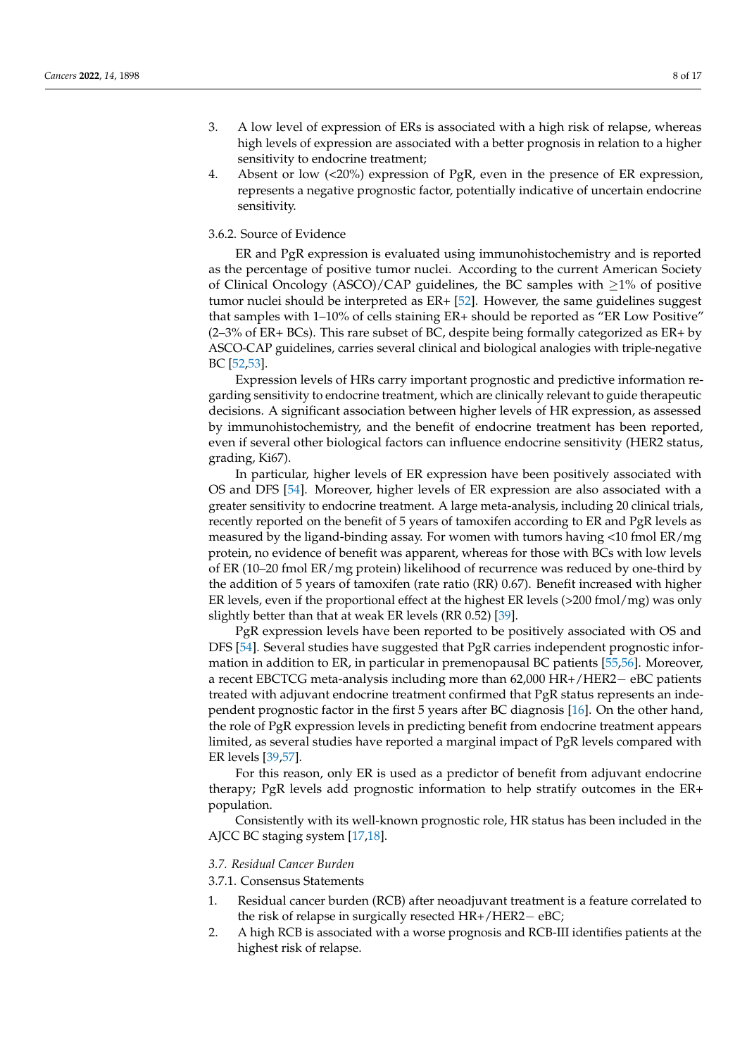- 3. A low level of expression of ERs is associated with a high risk of relapse, whereas high levels of expression are associated with a better prognosis in relation to a higher sensitivity to endocrine treatment;
- 4. Absent or low (<20%) expression of PgR, even in the presence of ER expression, represents a negative prognostic factor, potentially indicative of uncertain endocrine sensitivity.

## 3.6.2. Source of Evidence

ER and PgR expression is evaluated using immunohistochemistry and is reported as the percentage of positive tumor nuclei. According to the current American Society of Clinical Oncology (ASCO)/CAP guidelines, the BC samples with  $\geq$ 1% of positive tumor nuclei should be interpreted as ER+ [\[52\]](#page-15-0). However, the same guidelines suggest that samples with 1–10% of cells staining ER+ should be reported as "ER Low Positive" (2–3% of ER+ BCs). This rare subset of BC, despite being formally categorized as ER+ by ASCO-CAP guidelines, carries several clinical and biological analogies with triple-negative BC [\[52](#page-15-0)[,53\]](#page-15-1).

Expression levels of HRs carry important prognostic and predictive information regarding sensitivity to endocrine treatment, which are clinically relevant to guide therapeutic decisions. A significant association between higher levels of HR expression, as assessed by immunohistochemistry, and the benefit of endocrine treatment has been reported, even if several other biological factors can influence endocrine sensitivity (HER2 status, grading, Ki67).

In particular, higher levels of ER expression have been positively associated with OS and DFS [\[54\]](#page-15-2). Moreover, higher levels of ER expression are also associated with a greater sensitivity to endocrine treatment. A large meta-analysis, including 20 clinical trials, recently reported on the benefit of 5 years of tamoxifen according to ER and PgR levels as measured by the ligand-binding assay. For women with tumors having <10 fmol ER/mg protein, no evidence of benefit was apparent, whereas for those with BCs with low levels of ER (10–20 fmol ER/mg protein) likelihood of recurrence was reduced by one-third by the addition of 5 years of tamoxifen (rate ratio (RR) 0.67). Benefit increased with higher ER levels, even if the proportional effect at the highest ER levels (>200 fmol/mg) was only slightly better than that at weak ER levels (RR 0.52) [\[39\]](#page-14-12).

PgR expression levels have been reported to be positively associated with OS and DFS [\[54\]](#page-15-2). Several studies have suggested that PgR carries independent prognostic information in addition to ER, in particular in premenopausal BC patients [\[55](#page-15-3)[,56\]](#page-15-4). Moreover, a recent EBCTCG meta-analysis including more than 62,000 HR+/HER2− eBC patients treated with adjuvant endocrine treatment confirmed that PgR status represents an independent prognostic factor in the first 5 years after BC diagnosis [\[16\]](#page-13-11). On the other hand, the role of PgR expression levels in predicting benefit from endocrine treatment appears limited, as several studies have reported a marginal impact of PgR levels compared with ER levels [\[39,](#page-14-12)[57\]](#page-15-5).

For this reason, only ER is used as a predictor of benefit from adjuvant endocrine therapy; PgR levels add prognostic information to help stratify outcomes in the ER+ population.

Consistently with its well-known prognostic role, HR status has been included in the AJCC BC staging system [\[17,](#page-13-8)[18\]](#page-13-12).

### *3.7. Residual Cancer Burden*

3.7.1. Consensus Statements

- 1. Residual cancer burden (RCB) after neoadjuvant treatment is a feature correlated to the risk of relapse in surgically resected HR+/HER2− eBC;
- 2. A high RCB is associated with a worse prognosis and RCB-III identifies patients at the highest risk of relapse.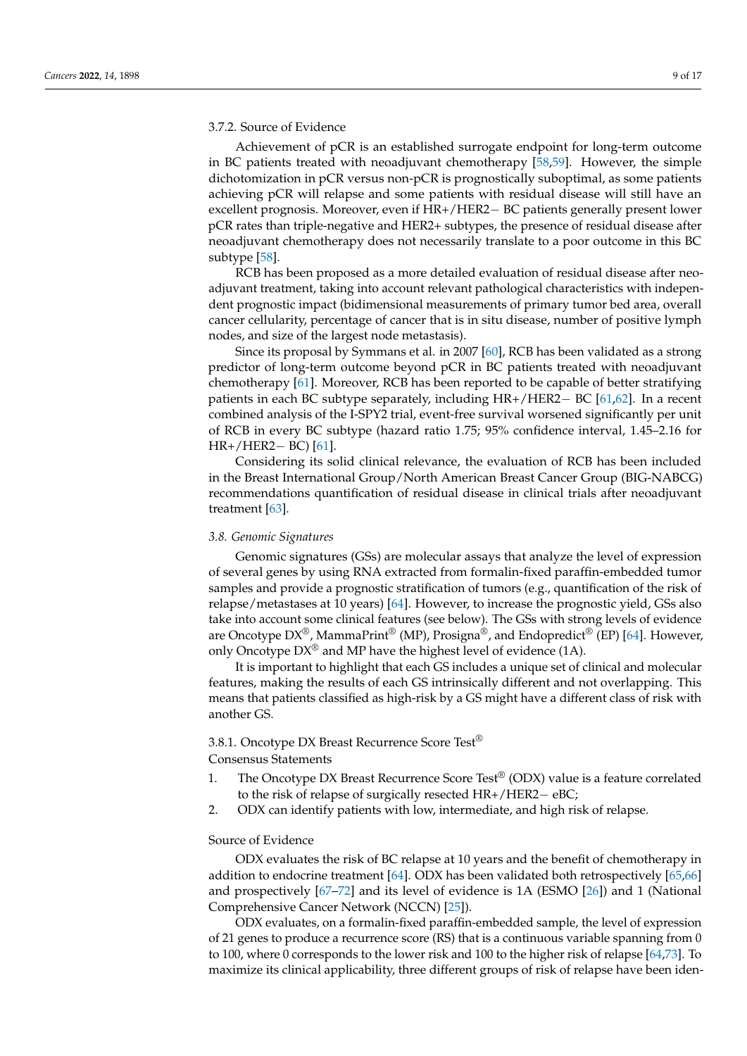## 3.7.2. Source of Evidence

Achievement of pCR is an established surrogate endpoint for long-term outcome in BC patients treated with neoadjuvant chemotherapy [\[58](#page-15-6)[,59\]](#page-15-7). However, the simple dichotomization in pCR versus non-pCR is prognostically suboptimal, as some patients achieving pCR will relapse and some patients with residual disease will still have an excellent prognosis. Moreover, even if HR+/HER2− BC patients generally present lower pCR rates than triple-negative and HER2+ subtypes, the presence of residual disease after neoadjuvant chemotherapy does not necessarily translate to a poor outcome in this BC subtype [\[58\]](#page-15-6).

RCB has been proposed as a more detailed evaluation of residual disease after neoadjuvant treatment, taking into account relevant pathological characteristics with independent prognostic impact (bidimensional measurements of primary tumor bed area, overall cancer cellularity, percentage of cancer that is in situ disease, number of positive lymph nodes, and size of the largest node metastasis).

Since its proposal by Symmans et al. in 2007 [\[60\]](#page-15-8), RCB has been validated as a strong predictor of long-term outcome beyond pCR in BC patients treated with neoadjuvant chemotherapy [\[61\]](#page-15-9). Moreover, RCB has been reported to be capable of better stratifying patients in each BC subtype separately, including HR+/HER2− BC [\[61](#page-15-9)[,62\]](#page-15-10). In a recent combined analysis of the I-SPY2 trial, event-free survival worsened significantly per unit of RCB in every BC subtype (hazard ratio 1.75; 95% confidence interval, 1.45–2.16 for HR+/HER2− BC) [\[61\]](#page-15-9).

Considering its solid clinical relevance, the evaluation of RCB has been included in the Breast International Group/North American Breast Cancer Group (BIG-NABCG) recommendations quantification of residual disease in clinical trials after neoadjuvant treatment [\[63\]](#page-15-11).

# *3.8. Genomic Signatures*

Genomic signatures (GSs) are molecular assays that analyze the level of expression of several genes by using RNA extracted from formalin-fixed paraffin-embedded tumor samples and provide a prognostic stratification of tumors (e.g., quantification of the risk of relapse/metastases at 10 years) [\[64\]](#page-15-12). However, to increase the prognostic yield, GSs also take into account some clinical features (see below). The GSs with strong levels of evidence are Oncotype  $DX^{\circledR}$ , MammaPrint<sup>®</sup> (MP), Prosigna<sup>®</sup>, and Endopredict<sup>®</sup> (EP) [\[64\]](#page-15-12). However, only Oncotype  $DX^{\circledR}$  and MP have the highest level of evidence (1A).

It is important to highlight that each GS includes a unique set of clinical and molecular features, making the results of each GS intrinsically different and not overlapping. This means that patients classified as high-risk by a GS might have a different class of risk with another GS.

3.8.1. Oncotype DX Breast Recurrence Score Test®

Consensus Statements

- 1. The Oncotype DX Breast Recurrence Score Test® (ODX) value is a feature correlated to the risk of relapse of surgically resected HR+/HER2− eBC;
- 2. ODX can identify patients with low, intermediate, and high risk of relapse.

#### Source of Evidence

ODX evaluates the risk of BC relapse at 10 years and the benefit of chemotherapy in addition to endocrine treatment [\[64\]](#page-15-12). ODX has been validated both retrospectively [\[65,](#page-15-13)[66\]](#page-15-14) and prospectively [\[67](#page-15-15)[–72\]](#page-16-0) and its level of evidence is 1A (ESMO [\[26\]](#page-13-16)) and 1 (National Comprehensive Cancer Network (NCCN) [\[25\]](#page-13-15)).

ODX evaluates, on a formalin-fixed paraffin-embedded sample, the level of expression of 21 genes to produce a recurrence score (RS) that is a continuous variable spanning from 0 to 100, where 0 corresponds to the lower risk and 100 to the higher risk of relapse [\[64](#page-15-12)[,73\]](#page-16-1). To maximize its clinical applicability, three different groups of risk of relapse have been iden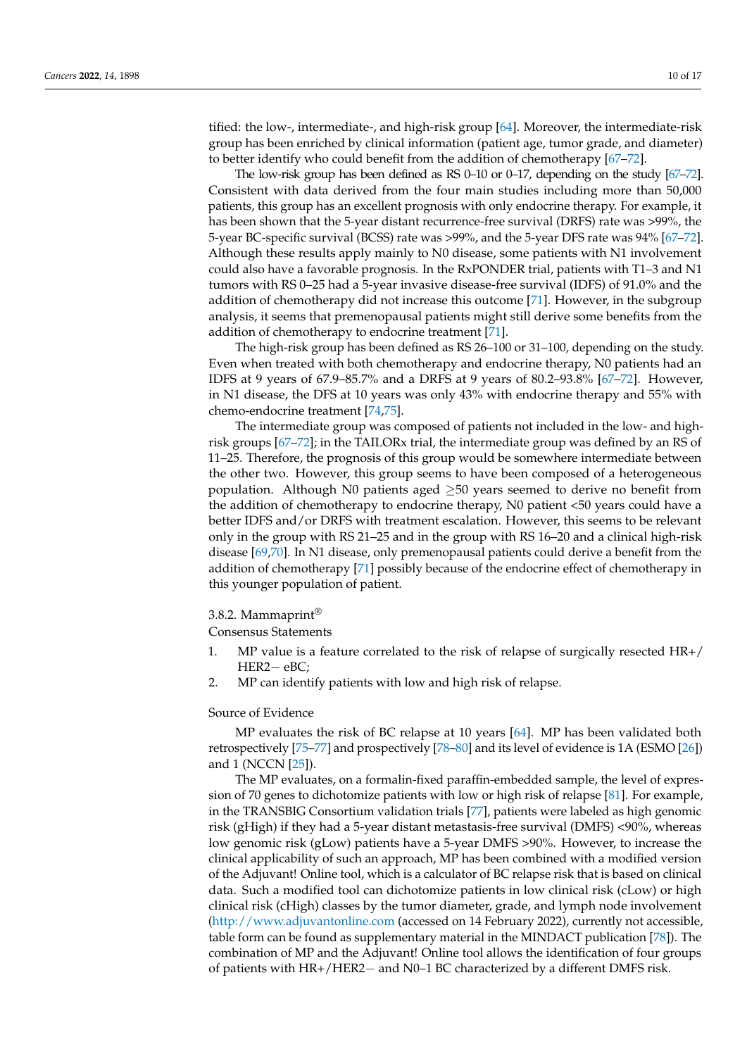tified: the low-, intermediate-, and high-risk group [\[64\]](#page-15-12). Moreover, the intermediate-risk group has been enriched by clinical information (patient age, tumor grade, and diameter) to better identify who could benefit from the addition of chemotherapy [\[67](#page-15-15)[–72\]](#page-16-0).

The low-risk group has been defined as RS 0–10 or 0–17, depending on the study [\[67](#page-15-15)[–72\]](#page-16-0). Consistent with data derived from the four main studies including more than 50,000 patients, this group has an excellent prognosis with only endocrine therapy. For example, it has been shown that the 5-year distant recurrence-free survival (DRFS) rate was >99%, the 5-year BC-specific survival (BCSS) rate was >99%, and the 5-year DFS rate was 94% [\[67](#page-15-15)[–72\]](#page-16-0). Although these results apply mainly to N0 disease, some patients with N1 involvement could also have a favorable prognosis. In the RxPONDER trial, patients with T1–3 and N1 tumors with RS 0–25 had a 5-year invasive disease-free survival (IDFS) of 91.0% and the addition of chemotherapy did not increase this outcome [\[71\]](#page-16-2). However, in the subgroup analysis, it seems that premenopausal patients might still derive some benefits from the addition of chemotherapy to endocrine treatment [\[71\]](#page-16-2).

The high-risk group has been defined as RS 26–100 or 31–100, depending on the study. Even when treated with both chemotherapy and endocrine therapy, N0 patients had an IDFS at 9 years of 67.9–85.7% and a DRFS at 9 years of 80.2–93.8% [\[67–](#page-15-15)[72\]](#page-16-0). However, in N1 disease, the DFS at 10 years was only 43% with endocrine therapy and 55% with chemo-endocrine treatment [\[74,](#page-16-3)[75\]](#page-16-4).

The intermediate group was composed of patients not included in the low- and highrisk groups [\[67–](#page-15-15)[72\]](#page-16-0); in the TAILORx trial, the intermediate group was defined by an RS of 11–25. Therefore, the prognosis of this group would be somewhere intermediate between the other two. However, this group seems to have been composed of a heterogeneous population. Although N0 patients aged  $\geq$ 50 years seemed to derive no benefit from the addition of chemotherapy to endocrine therapy, N0 patient <50 years could have a better IDFS and/or DRFS with treatment escalation. However, this seems to be relevant only in the group with RS 21–25 and in the group with RS 16–20 and a clinical high-risk disease [\[69](#page-15-16)[,70\]](#page-15-17). In N1 disease, only premenopausal patients could derive a benefit from the addition of chemotherapy [\[71\]](#page-16-2) possibly because of the endocrine effect of chemotherapy in this younger population of patient.

### 3.8.2. Mammaprint®

Consensus Statements

- 1. MP value is a feature correlated to the risk of relapse of surgically resected HR+/ HER2− eBC;
- 2. MP can identify patients with low and high risk of relapse.

#### Source of Evidence

MP evaluates the risk of BC relapse at 10 years [\[64\]](#page-15-12). MP has been validated both retrospectively [\[75–](#page-16-4)[77\]](#page-16-5) and prospectively [\[78](#page-16-6)[–80\]](#page-16-7) and its level of evidence is 1A (ESMO [\[26\]](#page-13-16)) and 1 (NCCN [\[25\]](#page-13-15)).

The MP evaluates, on a formalin-fixed paraffin-embedded sample, the level of expression of 70 genes to dichotomize patients with low or high risk of relapse [\[81\]](#page-16-8). For example, in the TRANSBIG Consortium validation trials [\[77\]](#page-16-5), patients were labeled as high genomic risk (gHigh) if they had a 5-year distant metastasis-free survival (DMFS) <90%, whereas low genomic risk (gLow) patients have a 5-year DMFS >90%. However, to increase the clinical applicability of such an approach, MP has been combined with a modified version of the Adjuvant! Online tool, which is a calculator of BC relapse risk that is based on clinical data. Such a modified tool can dichotomize patients in low clinical risk (cLow) or high clinical risk (cHigh) classes by the tumor diameter, grade, and lymph node involvement [\(http://www.adjuvantonline.com](http://www.adjuvantonline.com) (accessed on 14 February 2022), currently not accessible, table form can be found as supplementary material in the MINDACT publication [\[78\]](#page-16-6)). The combination of MP and the Adjuvant! Online tool allows the identification of four groups of patients with HR+/HER2− and N0–1 BC characterized by a different DMFS risk.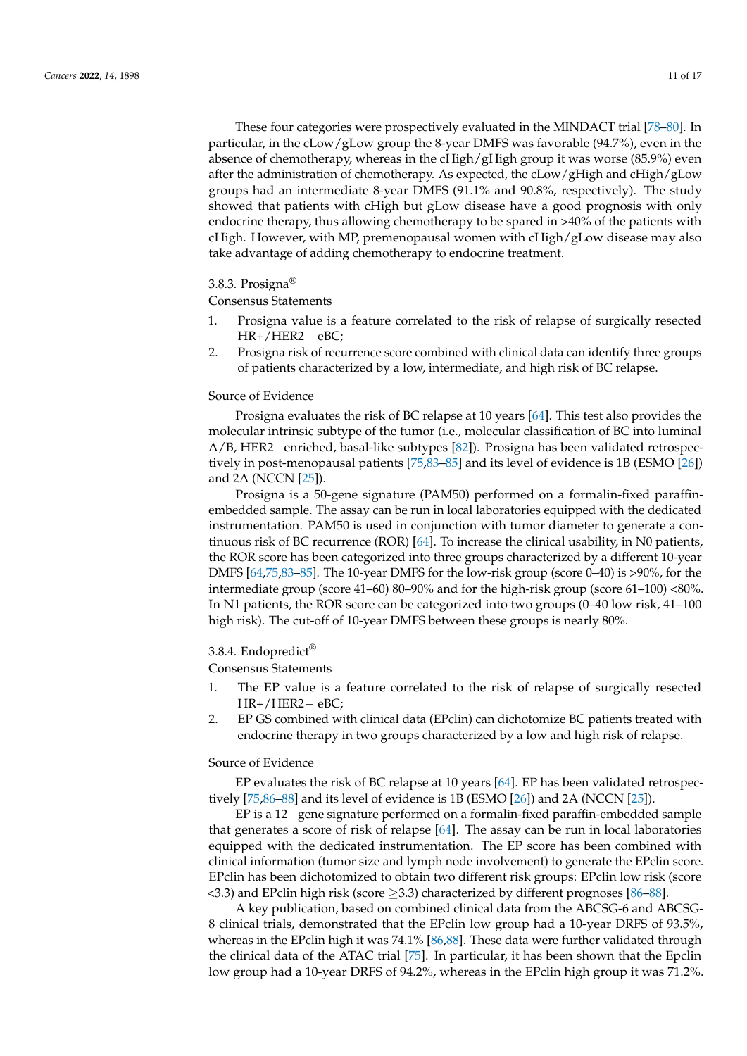These four categories were prospectively evaluated in the MINDACT trial [\[78](#page-16-6)[–80\]](#page-16-7). In particular, in the cLow/gLow group the 8-year DMFS was favorable (94.7%), even in the absence of chemotherapy, whereas in the cHigh/gHigh group it was worse (85.9%) even after the administration of chemotherapy. As expected, the cLow/gHigh and  $\frac{clup}{clup}$ Clow groups had an intermediate 8-year DMFS (91.1% and 90.8%, respectively). The study showed that patients with cHigh but gLow disease have a good prognosis with only endocrine therapy, thus allowing chemotherapy to be spared in >40% of the patients with cHigh. However, with MP, premenopausal women with cHigh/gLow disease may also take advantage of adding chemotherapy to endocrine treatment.

# 3.8.3. Prosigna®

Consensus Statements

- 1. Prosigna value is a feature correlated to the risk of relapse of surgically resected HR+/HER2− eBC;
- 2. Prosigna risk of recurrence score combined with clinical data can identify three groups of patients characterized by a low, intermediate, and high risk of BC relapse.

#### Source of Evidence

Prosigna evaluates the risk of BC relapse at 10 years [\[64\]](#page-15-12). This test also provides the molecular intrinsic subtype of the tumor (i.e., molecular classification of BC into luminal A/B, HER2−enriched, basal-like subtypes [\[82\]](#page-16-9)). Prosigna has been validated retrospectively in post-menopausal patients [\[75,](#page-16-4)[83](#page-16-10)[–85\]](#page-16-11) and its level of evidence is 1B (ESMO [\[26\]](#page-13-16)) and 2A (NCCN [\[25\]](#page-13-15)).

Prosigna is a 50-gene signature (PAM50) performed on a formalin-fixed paraffinembedded sample. The assay can be run in local laboratories equipped with the dedicated instrumentation. PAM50 is used in conjunction with tumor diameter to generate a continuous risk of BC recurrence (ROR) [\[64\]](#page-15-12). To increase the clinical usability, in N0 patients, the ROR score has been categorized into three groups characterized by a different 10-year DMFS [\[64](#page-15-12)[,75](#page-16-4)[,83](#page-16-10)[–85\]](#page-16-11). The 10-year DMFS for the low-risk group (score 0–40) is >90%, for the intermediate group (score 41–60) 80–90% and for the high-risk group (score 61–100) <80%. In N1 patients, the ROR score can be categorized into two groups (0–40 low risk, 41–100 high risk). The cut-off of 10-year DMFS between these groups is nearly 80%.

# 3.8.4. Endopredict®

Consensus Statements

- 1. The EP value is a feature correlated to the risk of relapse of surgically resected HR+/HER2− eBC;
- 2. EP GS combined with clinical data (EPclin) can dichotomize BC patients treated with endocrine therapy in two groups characterized by a low and high risk of relapse.

## Source of Evidence

EP evaluates the risk of BC relapse at 10 years [\[64\]](#page-15-12). EP has been validated retrospectively [\[75,](#page-16-4)[86–](#page-16-12)[88\]](#page-16-13) and its level of evidence is 1B (ESMO [\[26\]](#page-13-16)) and 2A (NCCN [\[25\]](#page-13-15)).

EP is a 12−gene signature performed on a formalin-fixed paraffin-embedded sample that generates a score of risk of relapse [\[64\]](#page-15-12). The assay can be run in local laboratories equipped with the dedicated instrumentation. The EP score has been combined with clinical information (tumor size and lymph node involvement) to generate the EPclin score. EPclin has been dichotomized to obtain two different risk groups: EPclin low risk (score  $\langle 3.3 \rangle$  and EPclin high risk (score  $\geq 3.3$ ) characterized by different prognoses [\[86–](#page-16-12)[88\]](#page-16-13).

A key publication, based on combined clinical data from the ABCSG-6 and ABCSG-8 clinical trials, demonstrated that the EPclin low group had a 10-year DRFS of 93.5%, whereas in the EPclin high it was 74.1% [\[86](#page-16-12)[,88\]](#page-16-13). These data were further validated through the clinical data of the ATAC trial [\[75\]](#page-16-4). In particular, it has been shown that the Epclin low group had a 10-year DRFS of 94.2%, whereas in the EPclin high group it was 71.2%.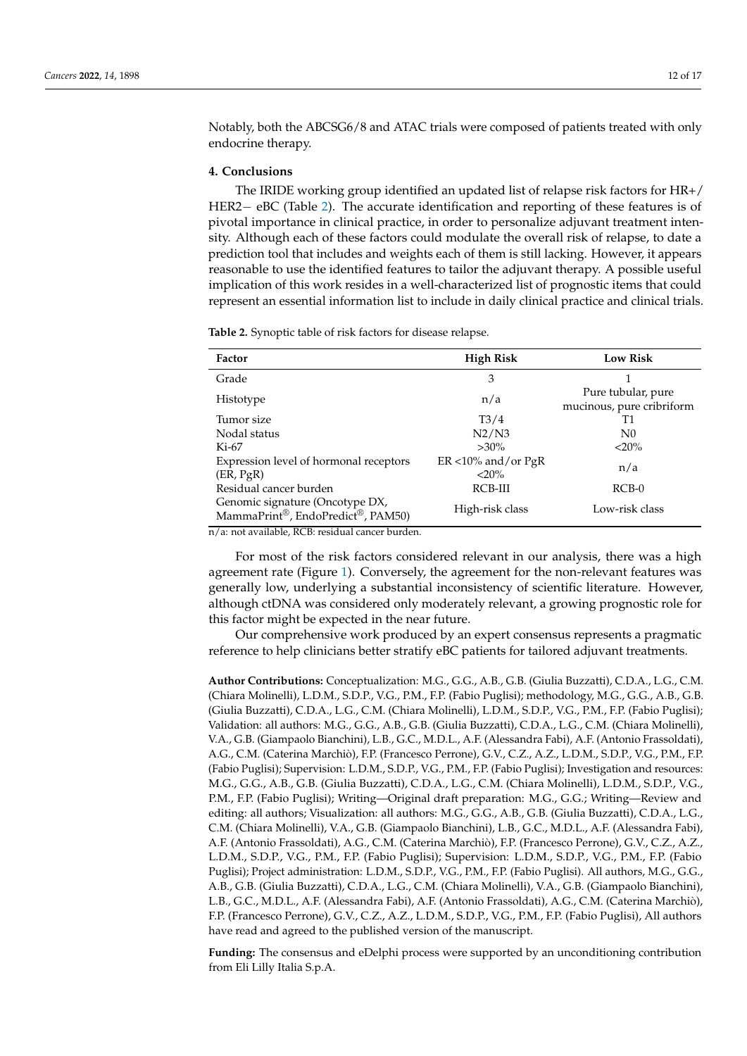Notably, both the ABCSG6/8 and ATAC trials were composed of patients treated with only endocrine therapy.

#### **4. Conclusions**

The IRIDE working group identified an updated list of relapse risk factors for HR+/ HER2− eBC (Table [2\)](#page-11-0). The accurate identification and reporting of these features is of pivotal importance in clinical practice, in order to personalize adjuvant treatment intensity. Although each of these factors could modulate the overall risk of relapse, to date a prediction tool that includes and weights each of them is still lacking. However, it appears reasonable to use the identified features to tailor the adjuvant therapy. A possible useful implication of this work resides in a well-characterized list of prognostic items that could represent an essential information list to include in daily clinical practice and clinical trials.

<span id="page-11-0"></span>**Table 2.** Synoptic table of risk factors for disease relapse.

| Factor                                                               | <b>High Risk</b>                   | <b>Low Risk</b>                                 |
|----------------------------------------------------------------------|------------------------------------|-------------------------------------------------|
| Grade                                                                | 3                                  |                                                 |
| Histotype                                                            | n/a                                | Pure tubular, pure<br>mucinous, pure cribriform |
| Tumor size                                                           | T3/4                               | Т1                                              |
| Nodal status                                                         | N2/N3                              | N <sub>0</sub>                                  |
| Ki-67                                                                | $>30\%$                            | $< 20\%$                                        |
| Expression level of hormonal receptors<br>(ER, PgR)                  | $ER < 10\%$ and/or PgR<br>$< 20\%$ | n/a                                             |
| Residual cancer burden                                               | RCB-III                            | $RCB-0$                                         |
| Genomic signature (Oncotype DX,<br>MammaPrint®, EndoPredict®, PAM50) | High-risk class                    | Low-risk class                                  |

n/a: not available, RCB: residual cancer burden.

For most of the risk factors considered relevant in our analysis, there was a high agreement rate (Figure [1\)](#page-3-0). Conversely, the agreement for the non-relevant features was generally low, underlying a substantial inconsistency of scientific literature. However, although ctDNA was considered only moderately relevant, a growing prognostic role for this factor might be expected in the near future.

Our comprehensive work produced by an expert consensus represents a pragmatic reference to help clinicians better stratify eBC patients for tailored adjuvant treatments.

**Author Contributions:** Conceptualization: M.G., G.G., A.B., G.B. (Giulia Buzzatti), C.D.A., L.G., C.M. (Chiara Molinelli), L.D.M., S.D.P., V.G., P.M., F.P. (Fabio Puglisi); methodology, M.G., G.G., A.B., G.B. (Giulia Buzzatti), C.D.A., L.G., C.M. (Chiara Molinelli), L.D.M., S.D.P., V.G., P.M., F.P. (Fabio Puglisi); Validation: all authors: M.G., G.G., A.B., G.B. (Giulia Buzzatti), C.D.A., L.G., C.M. (Chiara Molinelli), V.A., G.B. (Giampaolo Bianchini), L.B., G.C., M.D.L., A.F. (Alessandra Fabi), A.F. (Antonio Frassoldati), A.G., C.M. (Caterina Marchiò), F.P. (Francesco Perrone), G.V., C.Z., A.Z., L.D.M., S.D.P., V.G., P.M., F.P. (Fabio Puglisi); Supervision: L.D.M., S.D.P., V.G., P.M., F.P. (Fabio Puglisi); Investigation and resources: M.G., G.G., A.B., G.B. (Giulia Buzzatti), C.D.A., L.G., C.M. (Chiara Molinelli), L.D.M., S.D.P., V.G., P.M., F.P. (Fabio Puglisi); Writing—Original draft preparation: M.G., G.G.; Writing—Review and editing: all authors; Visualization: all authors: M.G., G.G., A.B., G.B. (Giulia Buzzatti), C.D.A., L.G., C.M. (Chiara Molinelli), V.A., G.B. (Giampaolo Bianchini), L.B., G.C., M.D.L., A.F. (Alessandra Fabi), A.F. (Antonio Frassoldati), A.G., C.M. (Caterina Marchiò), F.P. (Francesco Perrone), G.V., C.Z., A.Z., L.D.M., S.D.P., V.G., P.M., F.P. (Fabio Puglisi); Supervision: L.D.M., S.D.P., V.G., P.M., F.P. (Fabio Puglisi); Project administration: L.D.M., S.D.P., V.G., P.M., F.P. (Fabio Puglisi). All authors, M.G., G.G., A.B., G.B. (Giulia Buzzatti), C.D.A., L.G., C.M. (Chiara Molinelli), V.A., G.B. (Giampaolo Bianchini), L.B., G.C., M.D.L., A.F. (Alessandra Fabi), A.F. (Antonio Frassoldati), A.G., C.M. (Caterina Marchiò), F.P. (Francesco Perrone), G.V., C.Z., A.Z., L.D.M., S.D.P., V.G., P.M., F.P. (Fabio Puglisi), All authors have read and agreed to the published version of the manuscript.

**Funding:** The consensus and eDelphi process were supported by an unconditioning contribution from Eli Lilly Italia S.p.A.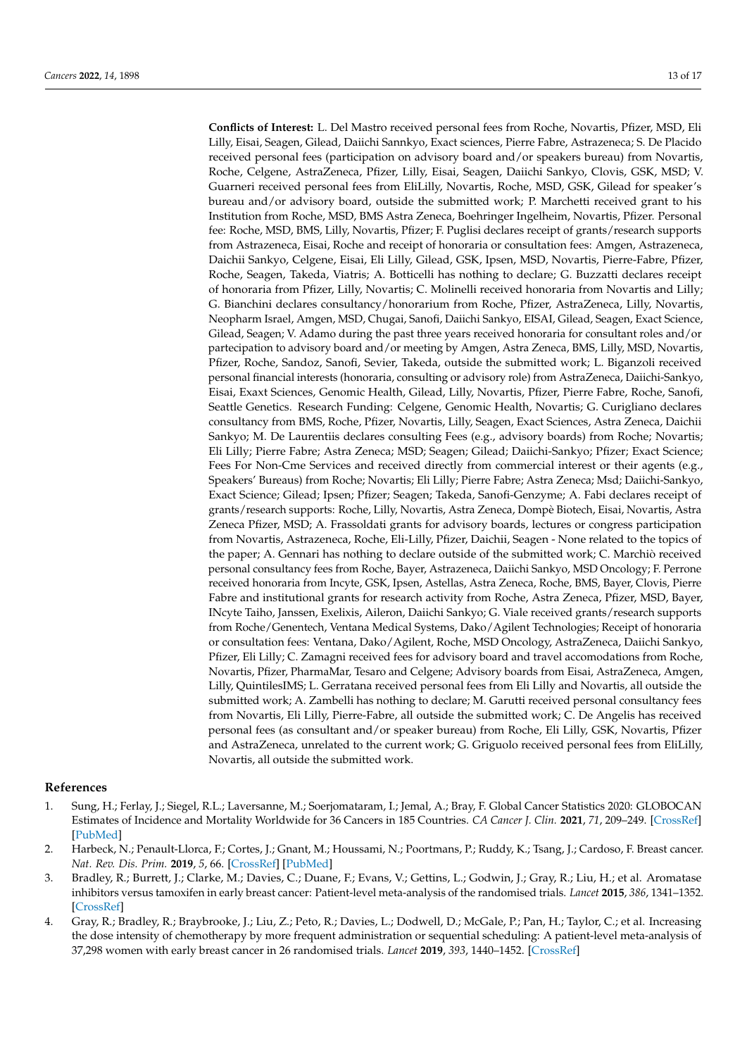**Conflicts of Interest:** L. Del Mastro received personal fees from Roche, Novartis, Pfizer, MSD, Eli Lilly, Eisai, Seagen, Gilead, Daiichi Sannkyo, Exact sciences, Pierre Fabre, Astrazeneca; S. De Placido received personal fees (participation on advisory board and/or speakers bureau) from Novartis, Roche, Celgene, AstraZeneca, Pfizer, Lilly, Eisai, Seagen, Daiichi Sankyo, Clovis, GSK, MSD; V. Guarneri received personal fees from EliLilly, Novartis, Roche, MSD, GSK, Gilead for speaker's bureau and/or advisory board, outside the submitted work; P. Marchetti received grant to his Institution from Roche, MSD, BMS Astra Zeneca, Boehringer Ingelheim, Novartis, Pfizer. Personal fee: Roche, MSD, BMS, Lilly, Novartis, Pfizer; F. Puglisi declares receipt of grants/research supports from Astrazeneca, Eisai, Roche and receipt of honoraria or consultation fees: Amgen, Astrazeneca, Daichii Sankyo, Celgene, Eisai, Eli Lilly, Gilead, GSK, Ipsen, MSD, Novartis, Pierre-Fabre, Pfizer, Roche, Seagen, Takeda, Viatris; A. Botticelli has nothing to declare; G. Buzzatti declares receipt of honoraria from Pfizer, Lilly, Novartis; C. Molinelli received honoraria from Novartis and Lilly; G. Bianchini declares consultancy/honorarium from Roche, Pfizer, AstraZeneca, Lilly, Novartis, Neopharm Israel, Amgen, MSD, Chugai, Sanofi, Daiichi Sankyo, EISAI, Gilead, Seagen, Exact Science, Gilead, Seagen; V. Adamo during the past three years received honoraria for consultant roles and/or partecipation to advisory board and/or meeting by Amgen, Astra Zeneca, BMS, Lilly, MSD, Novartis, Pfizer, Roche, Sandoz, Sanofi, Sevier, Takeda, outside the submitted work; L. Biganzoli received personal financial interests (honoraria, consulting or advisory role) from AstraZeneca, Daiichi-Sankyo, Eisai, Exaxt Sciences, Genomic Health, Gilead, Lilly, Novartis, Pfizer, Pierre Fabre, Roche, Sanofi, Seattle Genetics. Research Funding: Celgene, Genomic Health, Novartis; G. Curigliano declares consultancy from BMS, Roche, Pfizer, Novartis, Lilly, Seagen, Exact Sciences, Astra Zeneca, Daichii Sankyo; M. De Laurentiis declares consulting Fees (e.g., advisory boards) from Roche; Novartis; Eli Lilly; Pierre Fabre; Astra Zeneca; MSD; Seagen; Gilead; Daiichi-Sankyo; Pfizer; Exact Science; Fees For Non-Cme Services and received directly from commercial interest or their agents (e.g., Speakers' Bureaus) from Roche; Novartis; Eli Lilly; Pierre Fabre; Astra Zeneca; Msd; Daiichi-Sankyo, Exact Science; Gilead; Ipsen; Pfizer; Seagen; Takeda, Sanofi-Genzyme; A. Fabi declares receipt of grants/research supports: Roche, Lilly, Novartis, Astra Zeneca, Dompè Biotech, Eisai, Novartis, Astra Zeneca Pfizer, MSD; A. Frassoldati grants for advisory boards, lectures or congress participation from Novartis, Astrazeneca, Roche, Eli-Lilly, Pfizer, Daichii, Seagen - None related to the topics of the paper; A. Gennari has nothing to declare outside of the submitted work; C. Marchiò received personal consultancy fees from Roche, Bayer, Astrazeneca, Daiichi Sankyo, MSD Oncology; F. Perrone received honoraria from Incyte, GSK, Ipsen, Astellas, Astra Zeneca, Roche, BMS, Bayer, Clovis, Pierre Fabre and institutional grants for research activity from Roche, Astra Zeneca, Pfizer, MSD, Bayer, INcyte Taiho, Janssen, Exelixis, Aileron, Daiichi Sankyo; G. Viale received grants/research supports from Roche/Genentech, Ventana Medical Systems, Dako/Agilent Technologies; Receipt of honoraria or consultation fees: Ventana, Dako/Agilent, Roche, MSD Oncology, AstraZeneca, Daiichi Sankyo, Pfizer, Eli Lilly; C. Zamagni received fees for advisory board and travel accomodations from Roche, Novartis, Pfizer, PharmaMar, Tesaro and Celgene; Advisory boards from Eisai, AstraZeneca, Amgen, Lilly, QuintilesIMS; L. Gerratana received personal fees from Eli Lilly and Novartis, all outside the submitted work; A. Zambelli has nothing to declare; M. Garutti received personal consultancy fees from Novartis, Eli Lilly, Pierre-Fabre, all outside the submitted work; C. De Angelis has received personal fees (as consultant and/or speaker bureau) from Roche, Eli Lilly, GSK, Novartis, Pfizer and AstraZeneca, unrelated to the current work; G. Griguolo received personal fees from EliLilly, Novartis, all outside the submitted work.

# **References**

- <span id="page-12-0"></span>1. Sung, H.; Ferlay, J.; Siegel, R.L.; Laversanne, M.; Soerjomataram, I.; Jemal, A.; Bray, F. Global Cancer Statistics 2020: GLOBOCAN Estimates of Incidence and Mortality Worldwide for 36 Cancers in 185 Countries. *CA Cancer J. Clin.* **2021**, *71*, 209–249. [\[CrossRef\]](http://doi.org/10.3322/caac.21660) [\[PubMed\]](http://www.ncbi.nlm.nih.gov/pubmed/33538338)
- <span id="page-12-1"></span>2. Harbeck, N.; Penault-Llorca, F.; Cortes, J.; Gnant, M.; Houssami, N.; Poortmans, P.; Ruddy, K.; Tsang, J.; Cardoso, F. Breast cancer. *Nat. Rev. Dis. Prim.* **2019**, *5*, 66. [\[CrossRef\]](http://doi.org/10.1038/s41572-019-0111-2) [\[PubMed\]](http://www.ncbi.nlm.nih.gov/pubmed/31548545)
- <span id="page-12-2"></span>3. Bradley, R.; Burrett, J.; Clarke, M.; Davies, C.; Duane, F.; Evans, V.; Gettins, L.; Godwin, J.; Gray, R.; Liu, H.; et al. Aromatase inhibitors versus tamoxifen in early breast cancer: Patient-level meta-analysis of the randomised trials. *Lancet* **2015**, *386*, 1341–1352. [\[CrossRef\]](http://doi.org/10.1016/S0140-6736(15)61074-1)
- 4. Gray, R.; Bradley, R.; Braybrooke, J.; Liu, Z.; Peto, R.; Davies, L.; Dodwell, D.; McGale, P.; Pan, H.; Taylor, C.; et al. Increasing the dose intensity of chemotherapy by more frequent administration or sequential scheduling: A patient-level meta-analysis of 37,298 women with early breast cancer in 26 randomised trials. *Lancet* **2019**, *393*, 1440–1452. [\[CrossRef\]](http://doi.org/10.1016/S0140-6736(18)33137-4)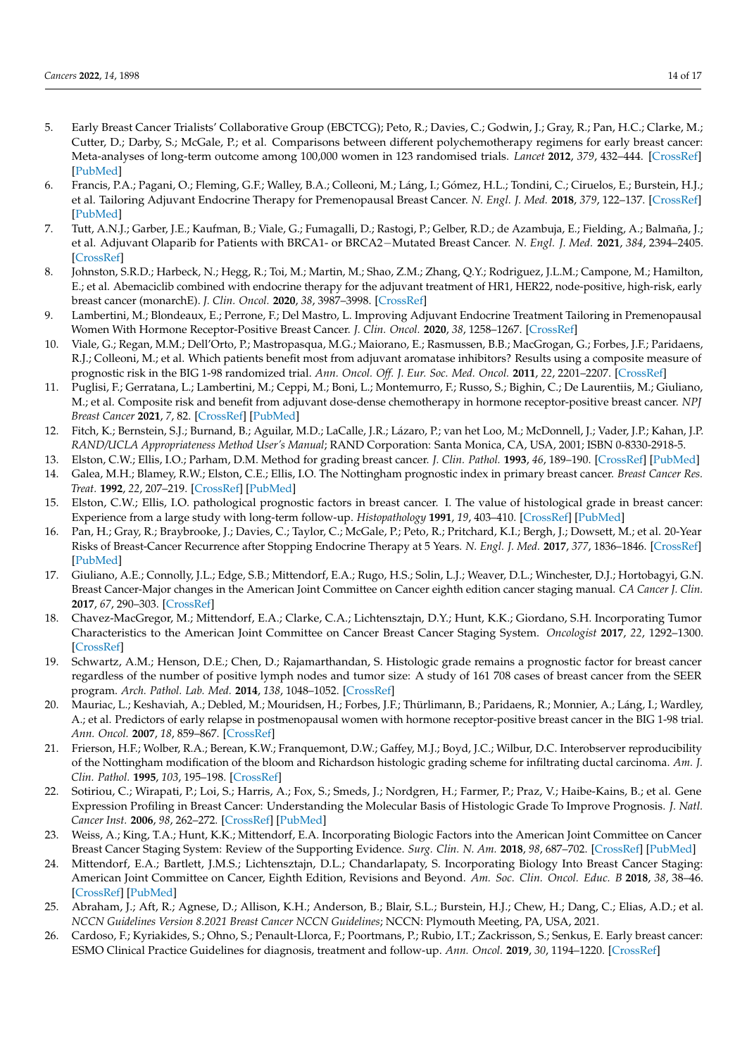- 5. Early Breast Cancer Trialists' Collaborative Group (EBCTCG); Peto, R.; Davies, C.; Godwin, J.; Gray, R.; Pan, H.C.; Clarke, M.; Cutter, D.; Darby, S.; McGale, P.; et al. Comparisons between different polychemotherapy regimens for early breast cancer: Meta-analyses of long-term outcome among 100,000 women in 123 randomised trials. *Lancet* **2012**, *379*, 432–444. [\[CrossRef\]](http://doi.org/10.1016/S0140-6736(11)61625-5) [\[PubMed\]](http://www.ncbi.nlm.nih.gov/pubmed/22152853)
- <span id="page-13-0"></span>6. Francis, P.A.; Pagani, O.; Fleming, G.F.; Walley, B.A.; Colleoni, M.; Láng, I.; Gómez, H.L.; Tondini, C.; Ciruelos, E.; Burstein, H.J.; et al. Tailoring Adjuvant Endocrine Therapy for Premenopausal Breast Cancer. *N. Engl. J. Med.* **2018**, *379*, 122–137. [\[CrossRef\]](http://doi.org/10.1056/NEJMoa1803164) [\[PubMed\]](http://www.ncbi.nlm.nih.gov/pubmed/29863451)
- <span id="page-13-1"></span>7. Tutt, A.N.J.; Garber, J.E.; Kaufman, B.; Viale, G.; Fumagalli, D.; Rastogi, P.; Gelber, R.D.; de Azambuja, E.; Fielding, A.; Balmaña, J.; et al. Adjuvant Olaparib for Patients with BRCA1- or BRCA2−Mutated Breast Cancer. *N. Engl. J. Med.* **2021**, *384*, 2394–2405. [\[CrossRef\]](http://doi.org/10.1056/NEJMoa2105215)
- <span id="page-13-2"></span>8. Johnston, S.R.D.; Harbeck, N.; Hegg, R.; Toi, M.; Martin, M.; Shao, Z.M.; Zhang, Q.Y.; Rodriguez, J.L.M.; Campone, M.; Hamilton, E.; et al. Abemaciclib combined with endocrine therapy for the adjuvant treatment of HR1, HER22, node-positive, high-risk, early breast cancer (monarchE). *J. Clin. Oncol.* **2020**, *38*, 3987–3998. [\[CrossRef\]](http://doi.org/10.1200/JCO.20.02514)
- <span id="page-13-3"></span>9. Lambertini, M.; Blondeaux, E.; Perrone, F.; Del Mastro, L. Improving Adjuvant Endocrine Treatment Tailoring in Premenopausal Women With Hormone Receptor-Positive Breast Cancer. *J. Clin. Oncol.* **2020**, *38*, 1258–1267. [\[CrossRef\]](http://doi.org/10.1200/JCO.19.02242)
- 10. Viale, G.; Regan, M.M.; Dell'Orto, P.; Mastropasqua, M.G.; Maiorano, E.; Rasmussen, B.B.; MacGrogan, G.; Forbes, J.F.; Paridaens, R.J.; Colleoni, M.; et al. Which patients benefit most from adjuvant aromatase inhibitors? Results using a composite measure of prognostic risk in the BIG 1-98 randomized trial. *Ann. Oncol. Off. J. Eur. Soc. Med. Oncol.* **2011**, *22*, 2201–2207. [\[CrossRef\]](http://doi.org/10.1093/annonc/mdq738)
- <span id="page-13-4"></span>11. Puglisi, F.; Gerratana, L.; Lambertini, M.; Ceppi, M.; Boni, L.; Montemurro, F.; Russo, S.; Bighin, C.; De Laurentiis, M.; Giuliano, M.; et al. Composite risk and benefit from adjuvant dose-dense chemotherapy in hormone receptor-positive breast cancer. *NPJ Breast Cancer* **2021**, *7*, 82. [\[CrossRef\]](http://doi.org/10.1038/s41523-021-00286-w) [\[PubMed\]](http://www.ncbi.nlm.nih.gov/pubmed/34183674)
- <span id="page-13-5"></span>12. Fitch, K.; Bernstein, S.J.; Burnand, B.; Aguilar, M.D.; LaCalle, J.R.; Lázaro, P.; van het Loo, M.; McDonnell, J.; Vader, J.P.; Kahan, J.P. *RAND/UCLA Appropriateness Method User's Manual*; RAND Corporation: Santa Monica, CA, USA, 2001; ISBN 0-8330-2918-5.
- <span id="page-13-6"></span>13. Elston, C.W.; Ellis, I.O.; Parham, D.M. Method for grading breast cancer. *J. Clin. Pathol.* **1993**, *46*, 189–190. [\[CrossRef\]](http://doi.org/10.1136/jcp.46.2.189-b) [\[PubMed\]](http://www.ncbi.nlm.nih.gov/pubmed/8459046)
- 14. Galea, M.H.; Blamey, R.W.; Elston, C.E.; Ellis, I.O. The Nottingham prognostic index in primary breast cancer. *Breast Cancer Res. Treat.* **1992**, *22*, 207–219. [\[CrossRef\]](http://doi.org/10.1007/BF01840834) [\[PubMed\]](http://www.ncbi.nlm.nih.gov/pubmed/1391987)
- 15. Elston, C.W.; Ellis, I.O. pathological prognostic factors in breast cancer. I. The value of histological grade in breast cancer: Experience from a large study with long-term follow-up. *Histopathology* **1991**, *19*, 403–410. [\[CrossRef\]](http://doi.org/10.1111/j.1365-2559.1991.tb00229.x) [\[PubMed\]](http://www.ncbi.nlm.nih.gov/pubmed/1757079)
- <span id="page-13-11"></span>16. Pan, H.; Gray, R.; Braybrooke, J.; Davies, C.; Taylor, C.; McGale, P.; Peto, R.; Pritchard, K.I.; Bergh, J.; Dowsett, M.; et al. 20-Year Risks of Breast-Cancer Recurrence after Stopping Endocrine Therapy at 5 Years. *N. Engl. J. Med.* **2017**, *377*, 1836–1846. [\[CrossRef\]](http://doi.org/10.1056/NEJMoa1701830) [\[PubMed\]](http://www.ncbi.nlm.nih.gov/pubmed/29117498)
- <span id="page-13-8"></span>17. Giuliano, A.E.; Connolly, J.L.; Edge, S.B.; Mittendorf, E.A.; Rugo, H.S.; Solin, L.J.; Weaver, D.L.; Winchester, D.J.; Hortobagyi, G.N. Breast Cancer-Major changes in the American Joint Committee on Cancer eighth edition cancer staging manual. *CA Cancer J. Clin.* **2017**, *67*, 290–303. [\[CrossRef\]](http://doi.org/10.3322/caac.21393)
- <span id="page-13-12"></span>18. Chavez-MacGregor, M.; Mittendorf, E.A.; Clarke, C.A.; Lichtensztajn, D.Y.; Hunt, K.K.; Giordano, S.H. Incorporating Tumor Characteristics to the American Joint Committee on Cancer Breast Cancer Staging System. *Oncologist* **2017**, *22*, 1292–1300. [\[CrossRef\]](http://doi.org/10.1634/theoncologist.2017-0116)
- 19. Schwartz, A.M.; Henson, D.E.; Chen, D.; Rajamarthandan, S. Histologic grade remains a prognostic factor for breast cancer regardless of the number of positive lymph nodes and tumor size: A study of 161 708 cases of breast cancer from the SEER program. *Arch. Pathol. Lab. Med.* **2014**, *138*, 1048–1052. [\[CrossRef\]](http://doi.org/10.5858/arpa.2013-0435-OA)
- <span id="page-13-7"></span>20. Mauriac, L.; Keshaviah, A.; Debled, M.; Mouridsen, H.; Forbes, J.F.; Thürlimann, B.; Paridaens, R.; Monnier, A.; Láng, I.; Wardley, A.; et al. Predictors of early relapse in postmenopausal women with hormone receptor-positive breast cancer in the BIG 1-98 trial. *Ann. Oncol.* **2007**, *18*, 859–867. [\[CrossRef\]](http://doi.org/10.1093/annonc/mdm001)
- <span id="page-13-9"></span>21. Frierson, H.F.; Wolber, R.A.; Berean, K.W.; Franquemont, D.W.; Gaffey, M.J.; Boyd, J.C.; Wilbur, D.C. Interobserver reproducibility of the Nottingham modification of the bloom and Richardson histologic grading scheme for infiltrating ductal carcinoma. *Am. J. Clin. Pathol.* **1995**, *103*, 195–198. [\[CrossRef\]](http://doi.org/10.1093/ajcp/103.2.195)
- <span id="page-13-10"></span>22. Sotiriou, C.; Wirapati, P.; Loi, S.; Harris, A.; Fox, S.; Smeds, J.; Nordgren, H.; Farmer, P.; Praz, V.; Haibe-Kains, B.; et al. Gene Expression Profiling in Breast Cancer: Understanding the Molecular Basis of Histologic Grade To Improve Prognosis. *J. Natl. Cancer Inst.* **2006**, *98*, 262–272. [\[CrossRef\]](http://doi.org/10.1093/jnci/djj052) [\[PubMed\]](http://www.ncbi.nlm.nih.gov/pubmed/16478745)
- <span id="page-13-13"></span>23. Weiss, A.; King, T.A.; Hunt, K.K.; Mittendorf, E.A. Incorporating Biologic Factors into the American Joint Committee on Cancer Breast Cancer Staging System: Review of the Supporting Evidence. *Surg. Clin. N. Am.* **2018**, *98*, 687–702. [\[CrossRef\]](http://doi.org/10.1016/j.suc.2018.03.005) [\[PubMed\]](http://www.ncbi.nlm.nih.gov/pubmed/30005768)
- <span id="page-13-14"></span>24. Mittendorf, E.A.; Bartlett, J.M.S.; Lichtensztajn, D.L.; Chandarlapaty, S. Incorporating Biology Into Breast Cancer Staging: American Joint Committee on Cancer, Eighth Edition, Revisions and Beyond. *Am. Soc. Clin. Oncol. Educ. B* **2018**, *38*, 38–46. [\[CrossRef\]](http://doi.org/10.1200/EDBK_200981) [\[PubMed\]](http://www.ncbi.nlm.nih.gov/pubmed/30231409)
- <span id="page-13-15"></span>25. Abraham, J.; Aft, R.; Agnese, D.; Allison, K.H.; Anderson, B.; Blair, S.L.; Burstein, H.J.; Chew, H.; Dang, C.; Elias, A.D.; et al. *NCCN Guidelines Version 8.2021 Breast Cancer NCCN Guidelines*; NCCN: Plymouth Meeting, PA, USA, 2021.
- <span id="page-13-16"></span>26. Cardoso, F.; Kyriakides, S.; Ohno, S.; Penault-Llorca, F.; Poortmans, P.; Rubio, I.T.; Zackrisson, S.; Senkus, E. Early breast cancer: ESMO Clinical Practice Guidelines for diagnosis, treatment and follow-up. *Ann. Oncol.* **2019**, *30*, 1194–1220. [\[CrossRef\]](http://doi.org/10.1093/annonc/mdz173)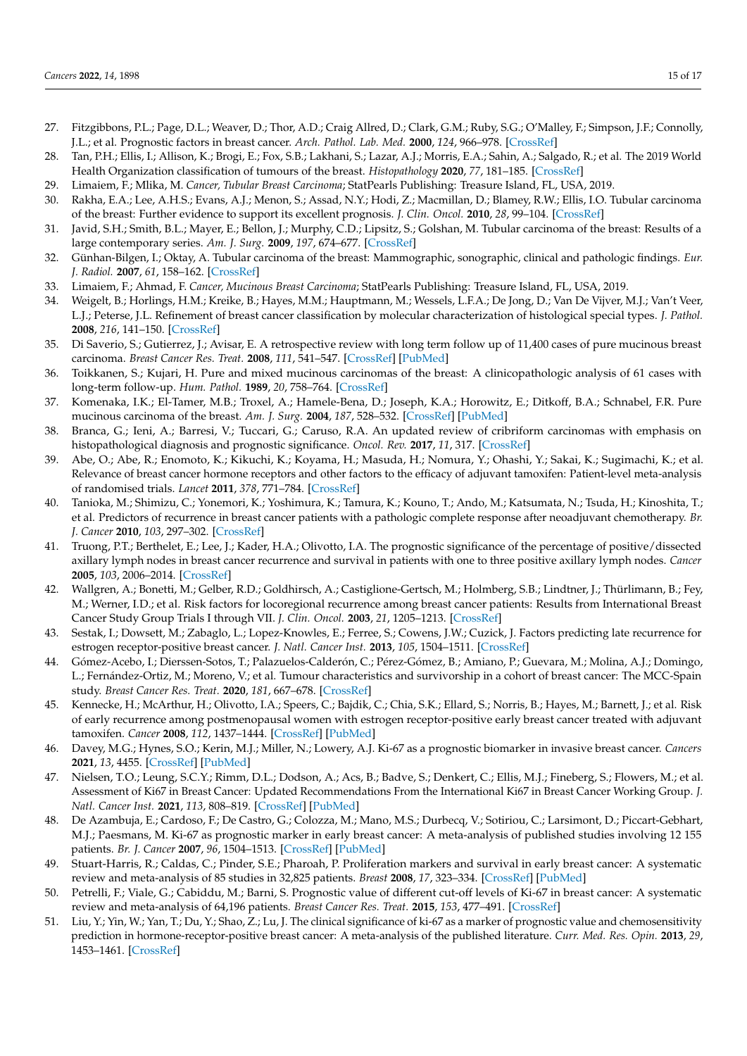- <span id="page-14-0"></span>27. Fitzgibbons, P.L.; Page, D.L.; Weaver, D.; Thor, A.D.; Craig Allred, D.; Clark, G.M.; Ruby, S.G.; O'Malley, F.; Simpson, J.F.; Connolly, J.L.; et al. Prognostic factors in breast cancer. *Arch. Pathol. Lab. Med.* **2000**, *124*, 966–978. [\[CrossRef\]](http://doi.org/10.5858/2000-124-0966-PFIBC)
- <span id="page-14-1"></span>28. Tan, P.H.; Ellis, I.; Allison, K.; Brogi, E.; Fox, S.B.; Lakhani, S.; Lazar, A.J.; Morris, E.A.; Sahin, A.; Salgado, R.; et al. The 2019 World Health Organization classification of tumours of the breast. *Histopathology* **2020**, *77*, 181–185. [\[CrossRef\]](http://doi.org/10.1111/his.14091)
- <span id="page-14-2"></span>29. Limaiem, F.; Mlika, M. *Cancer, Tubular Breast Carcinoma*; StatPearls Publishing: Treasure Island, FL, USA, 2019.
- <span id="page-14-3"></span>30. Rakha, E.A.; Lee, A.H.S.; Evans, A.J.; Menon, S.; Assad, N.Y.; Hodi, Z.; Macmillan, D.; Blamey, R.W.; Ellis, I.O. Tubular carcinoma of the breast: Further evidence to support its excellent prognosis. *J. Clin. Oncol.* **2010**, *28*, 99–104. [\[CrossRef\]](http://doi.org/10.1200/JCO.2009.23.5051)
- <span id="page-14-4"></span>31. Javid, S.H.; Smith, B.L.; Mayer, E.; Bellon, J.; Murphy, C.D.; Lipsitz, S.; Golshan, M. Tubular carcinoma of the breast: Results of a large contemporary series. *Am. J. Surg.* **2009**, *197*, 674–677. [\[CrossRef\]](http://doi.org/10.1016/j.amjsurg.2008.05.005)
- <span id="page-14-5"></span>32. Günhan-Bilgen, I.; Oktay, A. Tubular carcinoma of the breast: Mammographic, sonographic, clinical and pathologic findings. *Eur. J. Radiol.* **2007**, *61*, 158–162. [\[CrossRef\]](http://doi.org/10.1016/j.ejrad.2006.08.021)
- <span id="page-14-6"></span>33. Limaiem, F.; Ahmad, F. *Cancer, Mucinous Breast Carcinoma*; StatPearls Publishing: Treasure Island, FL, USA, 2019.
- <span id="page-14-7"></span>34. Weigelt, B.; Horlings, H.M.; Kreike, B.; Hayes, M.M.; Hauptmann, M.; Wessels, L.F.A.; De Jong, D.; Van De Vijver, M.J.; Van't Veer, L.J.; Peterse, J.L. Refinement of breast cancer classification by molecular characterization of histological special types. *J. Pathol.* **2008**, *216*, 141–150. [\[CrossRef\]](http://doi.org/10.1002/path.2407)
- <span id="page-14-8"></span>35. Di Saverio, S.; Gutierrez, J.; Avisar, E. A retrospective review with long term follow up of 11,400 cases of pure mucinous breast carcinoma. *Breast Cancer Res. Treat.* **2008**, *111*, 541–547. [\[CrossRef\]](http://doi.org/10.1007/s10549-007-9809-z) [\[PubMed\]](http://www.ncbi.nlm.nih.gov/pubmed/18026874)
- <span id="page-14-9"></span>36. Toikkanen, S.; Kujari, H. Pure and mixed mucinous carcinomas of the breast: A clinicopathologic analysis of 61 cases with long-term follow-up. *Hum. Pathol.* **1989**, *20*, 758–764. [\[CrossRef\]](http://doi.org/10.1016/0046-8177(89)90069-5)
- <span id="page-14-10"></span>37. Komenaka, I.K.; El-Tamer, M.B.; Troxel, A.; Hamele-Bena, D.; Joseph, K.A.; Horowitz, E.; Ditkoff, B.A.; Schnabel, F.R. Pure mucinous carcinoma of the breast. *Am. J. Surg.* **2004**, *187*, 528–532. [\[CrossRef\]](http://doi.org/10.1016/j.amjsurg.2003.12.039) [\[PubMed\]](http://www.ncbi.nlm.nih.gov/pubmed/15041505)
- <span id="page-14-11"></span>38. Branca, G.; Ieni, A.; Barresi, V.; Tuccari, G.; Caruso, R.A. An updated review of cribriform carcinomas with emphasis on histopathological diagnosis and prognostic significance. *Oncol. Rev.* **2017**, *11*, 317. [\[CrossRef\]](http://doi.org/10.4081/oncol.2017.317)
- <span id="page-14-12"></span>39. Abe, O.; Abe, R.; Enomoto, K.; Kikuchi, K.; Koyama, H.; Masuda, H.; Nomura, Y.; Ohashi, Y.; Sakai, K.; Sugimachi, K.; et al. Relevance of breast cancer hormone receptors and other factors to the efficacy of adjuvant tamoxifen: Patient-level meta-analysis of randomised trials. *Lancet* **2011**, *378*, 771–784. [\[CrossRef\]](http://doi.org/10.1016/S0140-6736(11)60993-8)
- <span id="page-14-14"></span>40. Tanioka, M.; Shimizu, C.; Yonemori, K.; Yoshimura, K.; Tamura, K.; Kouno, T.; Ando, M.; Katsumata, N.; Tsuda, H.; Kinoshita, T.; et al. Predictors of recurrence in breast cancer patients with a pathologic complete response after neoadjuvant chemotherapy. *Br. J. Cancer* **2010**, *103*, 297–302. [\[CrossRef\]](http://doi.org/10.1038/sj.bjc.6605769)
- 41. Truong, P.T.; Berthelet, E.; Lee, J.; Kader, H.A.; Olivotto, I.A. The prognostic significance of the percentage of positive/dissected axillary lymph nodes in breast cancer recurrence and survival in patients with one to three positive axillary lymph nodes. *Cancer* **2005**, *103*, 2006–2014. [\[CrossRef\]](http://doi.org/10.1002/cncr.20969)
- 42. Wallgren, A.; Bonetti, M.; Gelber, R.D.; Goldhirsch, A.; Castiglione-Gertsch, M.; Holmberg, S.B.; Lindtner, J.; Thürlimann, B.; Fey, M.; Werner, I.D.; et al. Risk factors for locoregional recurrence among breast cancer patients: Results from International Breast Cancer Study Group Trials I through VII. *J. Clin. Oncol.* **2003**, *21*, 1205–1213. [\[CrossRef\]](http://doi.org/10.1200/JCO.2003.03.130)
- 43. Sestak, I.; Dowsett, M.; Zabaglo, L.; Lopez-Knowles, E.; Ferree, S.; Cowens, J.W.; Cuzick, J. Factors predicting late recurrence for estrogen receptor-positive breast cancer. *J. Natl. Cancer Inst.* **2013**, *105*, 1504–1511. [\[CrossRef\]](http://doi.org/10.1093/jnci/djt244)
- <span id="page-14-13"></span>44. Gómez-Acebo, I.; Dierssen-Sotos, T.; Palazuelos-Calderón, C.; Pérez-Gómez, B.; Amiano, P.; Guevara, M.; Molina, A.J.; Domingo, L.; Fernández-Ortiz, M.; Moreno, V.; et al. Tumour characteristics and survivorship in a cohort of breast cancer: The MCC-Spain study. *Breast Cancer Res. Treat.* **2020**, *181*, 667–678. [\[CrossRef\]](http://doi.org/10.1007/s10549-020-05600-x)
- <span id="page-14-15"></span>45. Kennecke, H.; McArthur, H.; Olivotto, I.A.; Speers, C.; Bajdik, C.; Chia, S.K.; Ellard, S.; Norris, B.; Hayes, M.; Barnett, J.; et al. Risk of early recurrence among postmenopausal women with estrogen receptor-positive early breast cancer treated with adjuvant tamoxifen. *Cancer* **2008**, *112*, 1437–1444. [\[CrossRef\]](http://doi.org/10.1002/cncr.23320) [\[PubMed\]](http://www.ncbi.nlm.nih.gov/pubmed/18286526)
- <span id="page-14-16"></span>46. Davey, M.G.; Hynes, S.O.; Kerin, M.J.; Miller, N.; Lowery, A.J. Ki-67 as a prognostic biomarker in invasive breast cancer. *Cancers* **2021**, *13*, 4455. [\[CrossRef\]](http://doi.org/10.3390/cancers13174455) [\[PubMed\]](http://www.ncbi.nlm.nih.gov/pubmed/34503265)
- <span id="page-14-17"></span>47. Nielsen, T.O.; Leung, S.C.Y.; Rimm, D.L.; Dodson, A.; Acs, B.; Badve, S.; Denkert, C.; Ellis, M.J.; Fineberg, S.; Flowers, M.; et al. Assessment of Ki67 in Breast Cancer: Updated Recommendations From the International Ki67 in Breast Cancer Working Group. *J. Natl. Cancer Inst.* **2021**, *113*, 808–819. [\[CrossRef\]](http://doi.org/10.1093/jnci/djaa201) [\[PubMed\]](http://www.ncbi.nlm.nih.gov/pubmed/33369635)
- <span id="page-14-18"></span>48. De Azambuja, E.; Cardoso, F.; De Castro, G.; Colozza, M.; Mano, M.S.; Durbecq, V.; Sotiriou, C.; Larsimont, D.; Piccart-Gebhart, M.J.; Paesmans, M. Ki-67 as prognostic marker in early breast cancer: A meta-analysis of published studies involving 12 155 patients. *Br. J. Cancer* **2007**, *96*, 1504–1513. [\[CrossRef\]](http://doi.org/10.1038/sj.bjc.6603756) [\[PubMed\]](http://www.ncbi.nlm.nih.gov/pubmed/17453008)
- <span id="page-14-19"></span>49. Stuart-Harris, R.; Caldas, C.; Pinder, S.E.; Pharoah, P. Proliferation markers and survival in early breast cancer: A systematic review and meta-analysis of 85 studies in 32,825 patients. *Breast* **2008**, *17*, 323–334. [\[CrossRef\]](http://doi.org/10.1016/j.breast.2008.02.002) [\[PubMed\]](http://www.ncbi.nlm.nih.gov/pubmed/18455396)
- <span id="page-14-20"></span>50. Petrelli, F.; Viale, G.; Cabiddu, M.; Barni, S. Prognostic value of different cut-off levels of Ki-67 in breast cancer: A systematic review and meta-analysis of 64,196 patients. *Breast Cancer Res. Treat.* **2015**, *153*, 477–491. [\[CrossRef\]](http://doi.org/10.1007/s10549-015-3559-0)
- <span id="page-14-21"></span>51. Liu, Y.; Yin, W.; Yan, T.; Du, Y.; Shao, Z.; Lu, J. The clinical significance of ki-67 as a marker of prognostic value and chemosensitivity prediction in hormone-receptor-positive breast cancer: A meta-analysis of the published literature. *Curr. Med. Res. Opin.* **2013**, *29*, 1453–1461. [\[CrossRef\]](http://doi.org/10.1185/03007995.2013.833088)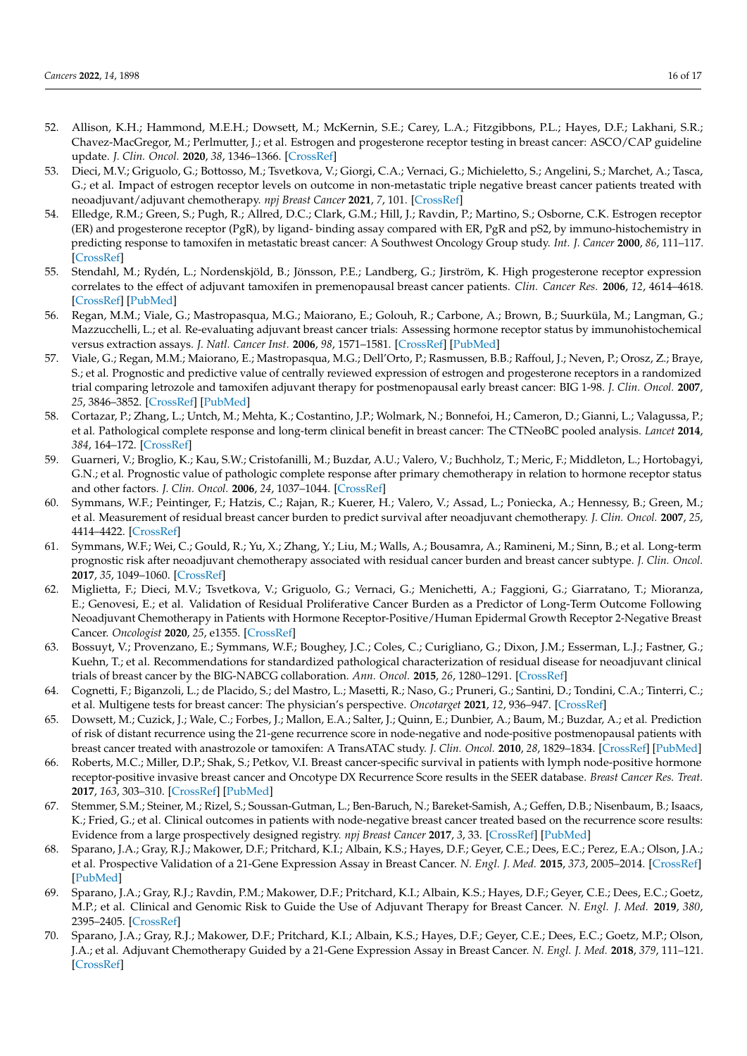- <span id="page-15-0"></span>52. Allison, K.H.; Hammond, M.E.H.; Dowsett, M.; McKernin, S.E.; Carey, L.A.; Fitzgibbons, P.L.; Hayes, D.F.; Lakhani, S.R.; Chavez-MacGregor, M.; Perlmutter, J.; et al. Estrogen and progesterone receptor testing in breast cancer: ASCO/CAP guideline update. *J. Clin. Oncol.* **2020**, *38*, 1346–1366. [\[CrossRef\]](http://doi.org/10.1200/JCO.19.02309)
- <span id="page-15-1"></span>53. Dieci, M.V.; Griguolo, G.; Bottosso, M.; Tsvetkova, V.; Giorgi, C.A.; Vernaci, G.; Michieletto, S.; Angelini, S.; Marchet, A.; Tasca, G.; et al. Impact of estrogen receptor levels on outcome in non-metastatic triple negative breast cancer patients treated with neoadjuvant/adjuvant chemotherapy. *npj Breast Cancer* **2021**, *7*, 101. [\[CrossRef\]](http://doi.org/10.1038/s41523-021-00308-7)
- <span id="page-15-2"></span>54. Elledge, R.M.; Green, S.; Pugh, R.; Allred, D.C.; Clark, G.M.; Hill, J.; Ravdin, P.; Martino, S.; Osborne, C.K. Estrogen receptor (ER) and progesterone receptor (PgR), by ligand- binding assay compared with ER, PgR and pS2, by immuno-histochemistry in predicting response to tamoxifen in metastatic breast cancer: A Southwest Oncology Group study. *Int. J. Cancer* **2000**, *86*, 111–117. [\[CrossRef\]](http://doi.org/10.1002/(SICI)1097-0215(20000320)89:2<111::AID-IJC2>3.0.CO;2-W)
- <span id="page-15-3"></span>55. Stendahl, M.; Rydén, L.; Nordenskjöld, B.; Jönsson, P.E.; Landberg, G.; Jirström, K. High progesterone receptor expression correlates to the effect of adjuvant tamoxifen in premenopausal breast cancer patients. *Clin. Cancer Res.* **2006**, *12*, 4614–4618. [\[CrossRef\]](http://doi.org/10.1158/1078-0432.CCR-06-0248) [\[PubMed\]](http://www.ncbi.nlm.nih.gov/pubmed/16899609)
- <span id="page-15-4"></span>56. Regan, M.M.; Viale, G.; Mastropasqua, M.G.; Maiorano, E.; Golouh, R.; Carbone, A.; Brown, B.; Suurküla, M.; Langman, G.; Mazzucchelli, L.; et al. Re-evaluating adjuvant breast cancer trials: Assessing hormone receptor status by immunohistochemical versus extraction assays. *J. Natl. Cancer Inst.* **2006**, *98*, 1571–1581. [\[CrossRef\]](http://doi.org/10.1093/jnci/djj415) [\[PubMed\]](http://www.ncbi.nlm.nih.gov/pubmed/17077359)
- <span id="page-15-5"></span>57. Viale, G.; Regan, M.M.; Maiorano, E.; Mastropasqua, M.G.; Dell'Orto, P.; Rasmussen, B.B.; Raffoul, J.; Neven, P.; Orosz, Z.; Braye, S.; et al. Prognostic and predictive value of centrally reviewed expression of estrogen and progesterone receptors in a randomized trial comparing letrozole and tamoxifen adjuvant therapy for postmenopausal early breast cancer: BIG 1-98. *J. Clin. Oncol.* **2007**, *25*, 3846–3852. [\[CrossRef\]](http://doi.org/10.1200/JCO.2007.11.9453) [\[PubMed\]](http://www.ncbi.nlm.nih.gov/pubmed/17679725)
- <span id="page-15-6"></span>58. Cortazar, P.; Zhang, L.; Untch, M.; Mehta, K.; Costantino, J.P.; Wolmark, N.; Bonnefoi, H.; Cameron, D.; Gianni, L.; Valagussa, P.; et al. Pathological complete response and long-term clinical benefit in breast cancer: The CTNeoBC pooled analysis. *Lancet* **2014**, *384*, 164–172. [\[CrossRef\]](http://doi.org/10.1016/S0140-6736(13)62422-8)
- <span id="page-15-7"></span>59. Guarneri, V.; Broglio, K.; Kau, S.W.; Cristofanilli, M.; Buzdar, A.U.; Valero, V.; Buchholz, T.; Meric, F.; Middleton, L.; Hortobagyi, G.N.; et al. Prognostic value of pathologic complete response after primary chemotherapy in relation to hormone receptor status and other factors. *J. Clin. Oncol.* **2006**, *24*, 1037–1044. [\[CrossRef\]](http://doi.org/10.1200/JCO.2005.02.6914)
- <span id="page-15-8"></span>60. Symmans, W.F.; Peintinger, F.; Hatzis, C.; Rajan, R.; Kuerer, H.; Valero, V.; Assad, L.; Poniecka, A.; Hennessy, B.; Green, M.; et al. Measurement of residual breast cancer burden to predict survival after neoadjuvant chemotherapy. *J. Clin. Oncol.* **2007**, *25*, 4414–4422. [\[CrossRef\]](http://doi.org/10.1200/JCO.2007.10.6823)
- <span id="page-15-9"></span>61. Symmans, W.F.; Wei, C.; Gould, R.; Yu, X.; Zhang, Y.; Liu, M.; Walls, A.; Bousamra, A.; Ramineni, M.; Sinn, B.; et al. Long-term prognostic risk after neoadjuvant chemotherapy associated with residual cancer burden and breast cancer subtype. *J. Clin. Oncol.* **2017**, *35*, 1049–1060. [\[CrossRef\]](http://doi.org/10.1200/JCO.2015.63.1010)
- <span id="page-15-10"></span>62. Miglietta, F.; Dieci, M.V.; Tsvetkova, V.; Griguolo, G.; Vernaci, G.; Menichetti, A.; Faggioni, G.; Giarratano, T.; Mioranza, E.; Genovesi, E.; et al. Validation of Residual Proliferative Cancer Burden as a Predictor of Long-Term Outcome Following Neoadjuvant Chemotherapy in Patients with Hormone Receptor-Positive/Human Epidermal Growth Receptor 2-Negative Breast Cancer. *Oncologist* **2020**, *25*, e1355. [\[CrossRef\]](http://doi.org/10.1634/theoncologist.2020-0201)
- <span id="page-15-11"></span>63. Bossuyt, V.; Provenzano, E.; Symmans, W.F.; Boughey, J.C.; Coles, C.; Curigliano, G.; Dixon, J.M.; Esserman, L.J.; Fastner, G.; Kuehn, T.; et al. Recommendations for standardized pathological characterization of residual disease for neoadjuvant clinical trials of breast cancer by the BIG-NABCG collaboration. *Ann. Oncol.* **2015**, *26*, 1280–1291. [\[CrossRef\]](http://doi.org/10.1093/annonc/mdv161)
- <span id="page-15-12"></span>64. Cognetti, F.; Biganzoli, L.; de Placido, S.; del Mastro, L.; Masetti, R.; Naso, G.; Pruneri, G.; Santini, D.; Tondini, C.A.; Tinterri, C.; et al. Multigene tests for breast cancer: The physician's perspective. *Oncotarget* **2021**, *12*, 936–947. [\[CrossRef\]](http://doi.org/10.18632/oncotarget.27948)
- <span id="page-15-13"></span>65. Dowsett, M.; Cuzick, J.; Wale, C.; Forbes, J.; Mallon, E.A.; Salter, J.; Quinn, E.; Dunbier, A.; Baum, M.; Buzdar, A.; et al. Prediction of risk of distant recurrence using the 21-gene recurrence score in node-negative and node-positive postmenopausal patients with breast cancer treated with anastrozole or tamoxifen: A TransATAC study. *J. Clin. Oncol.* **2010**, *28*, 1829–1834. [\[CrossRef\]](http://doi.org/10.1200/JCO.2009.24.4798) [\[PubMed\]](http://www.ncbi.nlm.nih.gov/pubmed/20212256)
- <span id="page-15-14"></span>66. Roberts, M.C.; Miller, D.P.; Shak, S.; Petkov, V.I. Breast cancer-specific survival in patients with lymph node-positive hormone receptor-positive invasive breast cancer and Oncotype DX Recurrence Score results in the SEER database. *Breast Cancer Res. Treat.* **2017**, *163*, 303–310. [\[CrossRef\]](http://doi.org/10.1007/s10549-017-4162-3) [\[PubMed\]](http://www.ncbi.nlm.nih.gov/pubmed/28243896)
- <span id="page-15-15"></span>67. Stemmer, S.M.; Steiner, M.; Rizel, S.; Soussan-Gutman, L.; Ben-Baruch, N.; Bareket-Samish, A.; Geffen, D.B.; Nisenbaum, B.; Isaacs, K.; Fried, G.; et al. Clinical outcomes in patients with node-negative breast cancer treated based on the recurrence score results: Evidence from a large prospectively designed registry. *npj Breast Cancer* **2017**, *3*, 33. [\[CrossRef\]](http://doi.org/10.1038/s41523-017-0034-6) [\[PubMed\]](http://www.ncbi.nlm.nih.gov/pubmed/28900633)
- 68. Sparano, J.A.; Gray, R.J.; Makower, D.F.; Pritchard, K.I.; Albain, K.S.; Hayes, D.F.; Geyer, C.E.; Dees, E.C.; Perez, E.A.; Olson, J.A.; et al. Prospective Validation of a 21-Gene Expression Assay in Breast Cancer. *N. Engl. J. Med.* **2015**, *373*, 2005–2014. [\[CrossRef\]](http://doi.org/10.1056/NEJMoa1510764) [\[PubMed\]](http://www.ncbi.nlm.nih.gov/pubmed/26412349)
- <span id="page-15-16"></span>69. Sparano, J.A.; Gray, R.J.; Ravdin, P.M.; Makower, D.F.; Pritchard, K.I.; Albain, K.S.; Hayes, D.F.; Geyer, C.E.; Dees, E.C.; Goetz, M.P.; et al. Clinical and Genomic Risk to Guide the Use of Adjuvant Therapy for Breast Cancer. *N. Engl. J. Med.* **2019**, *380*, 2395–2405. [\[CrossRef\]](http://doi.org/10.1056/NEJMoa1904819)
- <span id="page-15-17"></span>70. Sparano, J.A.; Gray, R.J.; Makower, D.F.; Pritchard, K.I.; Albain, K.S.; Hayes, D.F.; Geyer, C.E.; Dees, E.C.; Goetz, M.P.; Olson, J.A.; et al. Adjuvant Chemotherapy Guided by a 21-Gene Expression Assay in Breast Cancer. *N. Engl. J. Med.* **2018**, *379*, 111–121. [\[CrossRef\]](http://doi.org/10.1056/NEJMoa1804710)